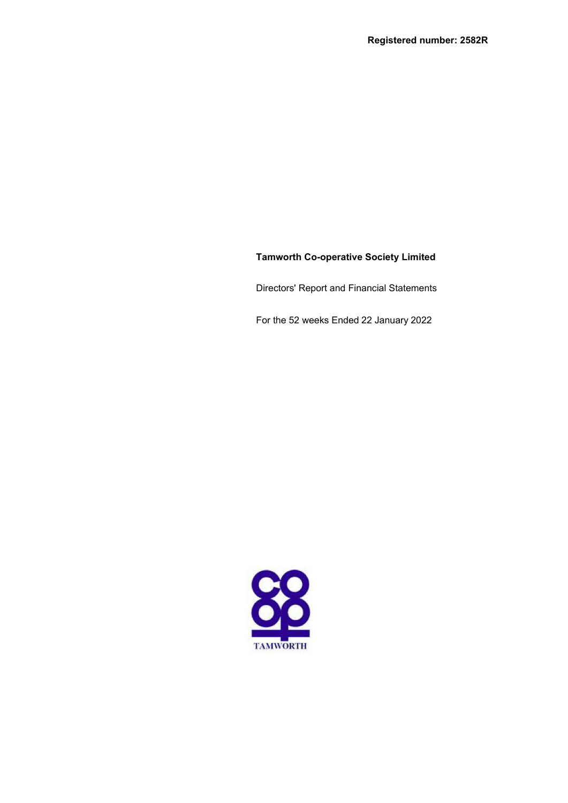# **Tamworth Co-operative Society Limited**

Directors' Report and Financial Statements

For the 52 weeks Ended 22 January 2022

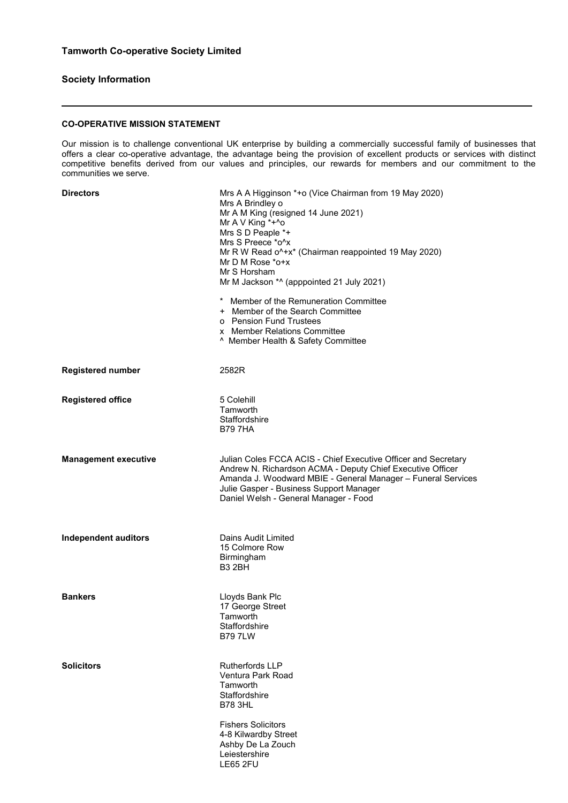# **Society Information**

# **CO-OPERATIVE MISSION STATEMENT**

Our mission is to challenge conventional UK enterprise by building a commercially successful family of businesses that offers a clear co-operative advantage, the advantage being the provision of excellent products or services with distinct competitive benefits derived from our values and principles, our rewards for members and our commitment to the communities we serve.

| <b>Directors</b>            | Mrs A A Higginson *+o (Vice Chairman from 19 May 2020)<br>Mrs A Brindley o<br>Mr A M King (resigned 14 June 2021)<br>Mr A V King *+^o<br>Mrs S D Peaple *+<br>Mrs S Preece *o^x<br>Mr R W Read o^+x* (Chairman reappointed 19 May 2020)<br>Mr D M Rose *o+x<br>Mr S Horsham<br>Mr M Jackson *^ (apppointed 21 July 2021) |
|-----------------------------|--------------------------------------------------------------------------------------------------------------------------------------------------------------------------------------------------------------------------------------------------------------------------------------------------------------------------|
|                             | * Member of the Remuneration Committee<br>+ Member of the Search Committee<br>o Pension Fund Trustees<br>x Member Relations Committee<br>^ Member Health & Safety Committee                                                                                                                                              |
| <b>Registered number</b>    | 2582R                                                                                                                                                                                                                                                                                                                    |
| <b>Registered office</b>    | 5 Colehill<br>Tamworth<br>Staffordshire<br><b>B797HA</b>                                                                                                                                                                                                                                                                 |
| <b>Management executive</b> | Julian Coles FCCA ACIS - Chief Executive Officer and Secretary<br>Andrew N. Richardson ACMA - Deputy Chief Executive Officer<br>Amanda J. Woodward MBIE - General Manager - Funeral Services<br>Julie Gasper - Business Support Manager<br>Daniel Welsh - General Manager - Food                                         |
| <b>Independent auditors</b> | Dains Audit Limited<br>15 Colmore Row<br><b>Birmingham</b><br><b>B3 2BH</b>                                                                                                                                                                                                                                              |
| <b>Bankers</b>              | Lloyds Bank Plc<br>17 George Street<br>Tamworth<br>Staffordshire<br><b>B797LW</b>                                                                                                                                                                                                                                        |
| <b>Solicitors</b>           | <b>Rutherfords LLP</b><br>Ventura Park Road<br>Tamworth<br>Staffordshire<br><b>B78 3HL</b>                                                                                                                                                                                                                               |
|                             | <b>Fishers Solicitors</b><br>4-8 Kilwardby Street<br>Ashby De La Zouch<br>Leiestershire<br><b>LE65 2FU</b>                                                                                                                                                                                                               |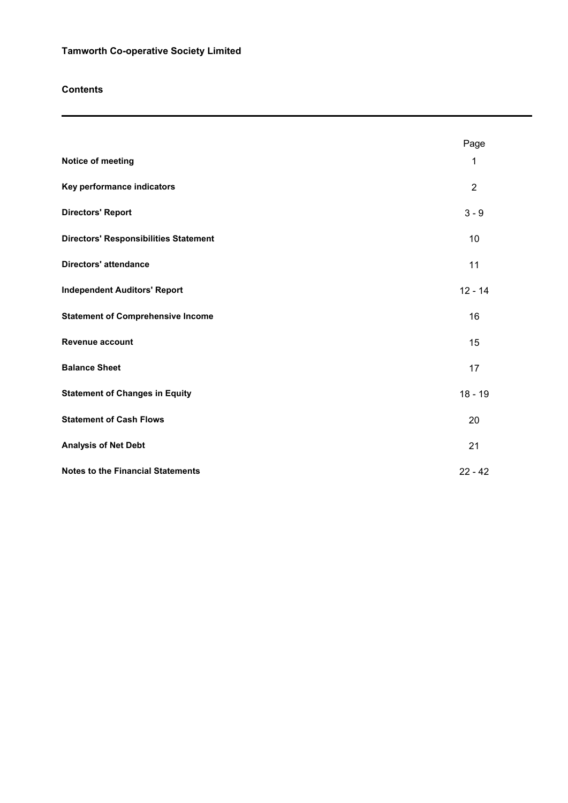# **Contents**

|                                              | Page           |
|----------------------------------------------|----------------|
| Notice of meeting                            | 1              |
| Key performance indicators                   | $\overline{2}$ |
| <b>Directors' Report</b>                     | $3 - 9$        |
| <b>Directors' Responsibilities Statement</b> | 10             |
| <b>Directors' attendance</b>                 | 11             |
| <b>Independent Auditors' Report</b>          | $12 - 14$      |
| <b>Statement of Comprehensive Income</b>     | 16             |
| Revenue account                              | 15             |
| <b>Balance Sheet</b>                         | 17             |
| <b>Statement of Changes in Equity</b>        | $18 - 19$      |
| <b>Statement of Cash Flows</b>               | 20             |
| <b>Analysis of Net Debt</b>                  | 21             |
| <b>Notes to the Financial Statements</b>     | $22 - 42$      |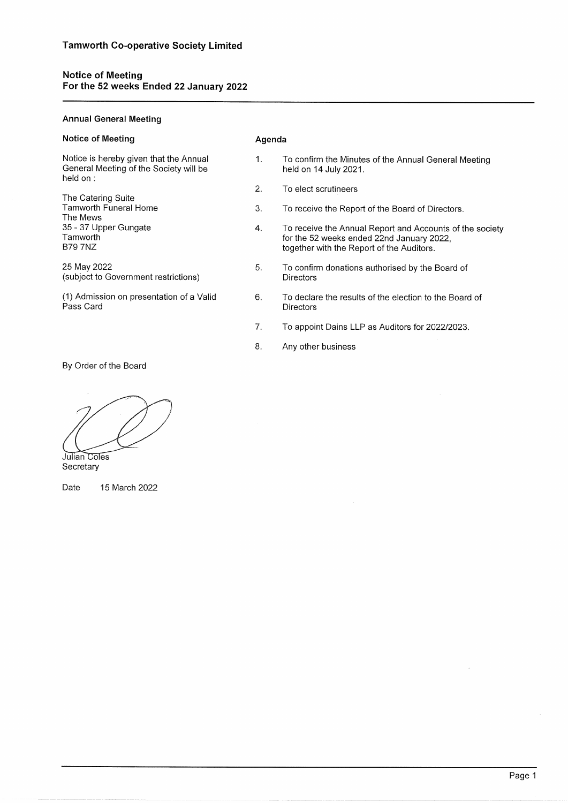# Notice of Meeting<br>For the 52 weeks Ended 22 January 2022

# **Annual General Meeting**

| Notice of Meeting                                                                            | Agenda      |                                                                                                                                                    |  |  |  |
|----------------------------------------------------------------------------------------------|-------------|----------------------------------------------------------------------------------------------------------------------------------------------------|--|--|--|
| Notice is hereby given that the Annual<br>General Meeting of the Society will be<br>held on: | $1_{\cdot}$ | To confirm the Minutes of the Annual General Meeting<br>held on 14 July 2021.                                                                      |  |  |  |
|                                                                                              | 2.          | To elect scrutineers                                                                                                                               |  |  |  |
| The Catering Suite<br>Tamworth Funeral Home<br>The Mews                                      | 3.          | To receive the Report of the Board of Directors.                                                                                                   |  |  |  |
| 35 - 37 Upper Gungate<br>Tamworth<br><b>B79 7NZ</b>                                          | 4.          | To receive the Annual Report and Accounts of the society<br>for the 52 weeks ended 22nd January 2022,<br>together with the Report of the Auditors. |  |  |  |
| 25 May 2022<br>(subject to Government restrictions)                                          | 5.          | To confirm donations authorised by the Board of<br><b>Directors</b>                                                                                |  |  |  |
| (1) Admission on presentation of a Valid<br>Pass Card                                        | 6.          | To declare the results of the election to the Board of<br><b>Directors</b>                                                                         |  |  |  |
|                                                                                              | 7.          | To appoint Dains LLP as Auditors for 2022/2023.                                                                                                    |  |  |  |
|                                                                                              | 8.          | Any other business                                                                                                                                 |  |  |  |

By Order of the Board

Julian Coles Secretary

Date 15 March 2022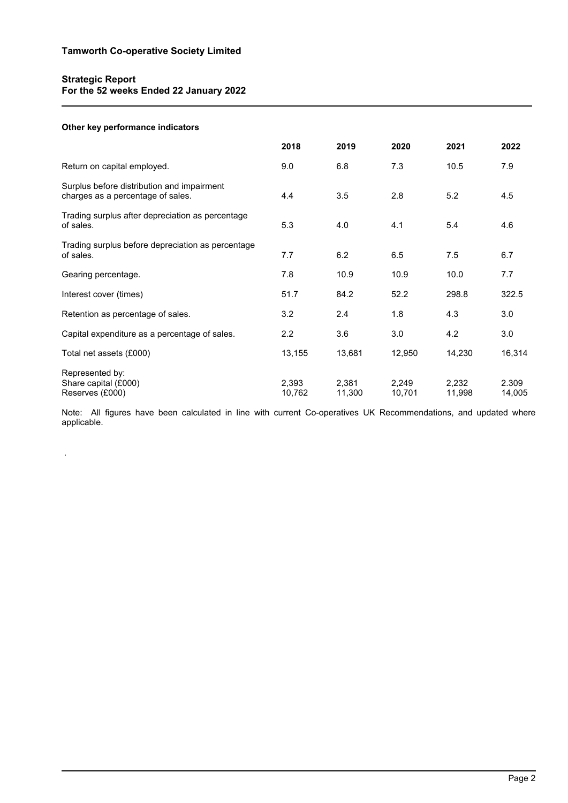# **Strategic Report For the 52 weeks Ended 22 January 2022**

# **Other key performance indicators**

.

|                                                                                 | 2018            | 2019            | 2020            | 2021            | 2022            |
|---------------------------------------------------------------------------------|-----------------|-----------------|-----------------|-----------------|-----------------|
| Return on capital employed.                                                     | 9.0             | 6.8             | 7.3             | 10.5            | 7.9             |
| Surplus before distribution and impairment<br>charges as a percentage of sales. | 4.4             | 3.5             | 2.8             | 5.2             | 4.5             |
| Trading surplus after depreciation as percentage<br>of sales.                   | 5.3             | 4.0             | 4.1             | 5.4             | 4.6             |
| Trading surplus before depreciation as percentage<br>of sales.                  | 7.7             | 6.2             | 6.5             | 7.5             | 6.7             |
| Gearing percentage.                                                             | 7.8             | 10.9            | 10.9            | 10.0            | 7.7             |
| Interest cover (times)                                                          | 51.7            | 84.2            | 52.2            | 298.8           | 322.5           |
| Retention as percentage of sales.                                               | 3.2             | 2.4             | 1.8             | 4.3             | 3.0             |
| Capital expenditure as a percentage of sales.                                   | 2.2             | 3.6             | 3.0             | 4.2             | 3.0             |
| Total net assets (£000)                                                         | 13,155          | 13,681          | 12,950          | 14,230          | 16,314          |
| Represented by:<br>Share capital (£000)<br>Reserves (£000)                      | 2,393<br>10,762 | 2,381<br>11,300 | 2,249<br>10,701 | 2,232<br>11,998 | 2.309<br>14,005 |

Note: All figures have been calculated in line with current Co-operatives UK Recommendations, and updated where applicable.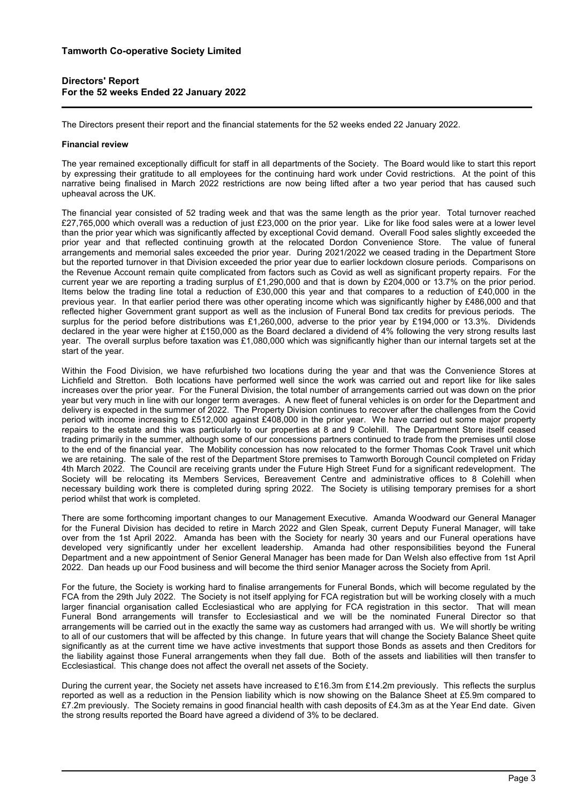# **Directors' Report For the 52 weeks Ended 22 January 2022**

The Directors present their report and the financial statements for the 52 weeks ended 22 January 2022.

## **Financial review**

The year remained exceptionally difficult for staff in all departments of the Society. The Board would like to start this report by expressing their gratitude to all employees for the continuing hard work under Covid restrictions. At the point of this narrative being finalised in March 2022 restrictions are now being lifted after a two year period that has caused such upheaval across the UK.

The financial year consisted of 52 trading week and that was the same length as the prior year. Total turnover reached £27,765,000 which overall was a reduction of just £23,000 on the prior year. Like for like food sales were at a lower level than the prior year which was significantly affected by exceptional Covid demand. Overall Food sales slightly exceeded the prior year and that reflected continuing growth at the relocated Dordon Convenience Store. The value of funeral arrangements and memorial sales exceeded the prior year. During 2021/2022 we ceased trading in the Department Store but the reported turnover in that Division exceeded the prior year due to earlier lockdown closure periods. Comparisons on the Revenue Account remain quite complicated from factors such as Covid as well as significant property repairs. For the current year we are reporting a trading surplus of £1,290,000 and that is down by £204,000 or 13.7% on the prior period. Items below the trading line total a reduction of £30,000 this year and that compares to a reduction of £40,000 in the previous year. In that earlier period there was other operating income which was significantly higher by £486,000 and that reflected higher Government grant support as well as the inclusion of Funeral Bond tax credits for previous periods. The surplus for the period before distributions was £1,260,000, adverse to the prior year by £194,000 or 13.3%. Dividends declared in the year were higher at £150,000 as the Board declared a dividend of 4% following the very strong results last year. The overall surplus before taxation was £1,080,000 which was significantly higher than our internal targets set at the start of the year.

Within the Food Division, we have refurbished two locations during the year and that was the Convenience Stores at Lichfield and Stretton. Both locations have performed well since the work was carried out and report like for like sales increases over the prior year. For the Funeral Division, the total number of arrangements carried out was down on the prior year but very much in line with our longer term averages. A new fleet of funeral vehicles is on order for the Department and delivery is expected in the summer of 2022. The Property Division continues to recover after the challenges from the Covid period with income increasing to £512,000 against £408,000 in the prior year. We have carried out some major property repairs to the estate and this was particularly to our properties at 8 and 9 Colehill. The Department Store itself ceased trading primarily in the summer, although some of our concessions partners continued to trade from the premises until close to the end of the financial year. The Mobility concession has now relocated to the former Thomas Cook Travel unit which we are retaining. The sale of the rest of the Department Store premises to Tamworth Borough Council completed on Friday 4th March 2022. The Council are receiving grants under the Future High Street Fund for a significant redevelopment. The Society will be relocating its Members Services, Bereavement Centre and administrative offices to 8 Colehill when necessary building work there is completed during spring 2022. The Society is utilising temporary premises for a short period whilst that work is completed.

There are some forthcoming important changes to our Management Executive. Amanda Woodward our General Manager for the Funeral Division has decided to retire in March 2022 and Glen Speak, current Deputy Funeral Manager, will take over from the 1st April 2022. Amanda has been with the Society for nearly 30 years and our Funeral operations have developed very significantly under her excellent leadership. Amanda had other responsibilities beyond the Funeral Department and a new appointment of Senior General Manager has been made for Dan Welsh also effective from 1st April 2022. Dan heads up our Food business and will become the third senior Manager across the Society from April.

For the future, the Society is working hard to finalise arrangements for Funeral Bonds, which will become regulated by the FCA from the 29th July 2022. The Society is not itself applying for FCA registration but will be working closely with a much larger financial organisation called Ecclesiastical who are applying for FCA registration in this sector. That will mean Funeral Bond arrangements will transfer to Ecclesiastical and we will be the nominated Funeral Director so that arrangements will be carried out in the exactly the same way as customers had arranged with us. We will shortly be writing to all of our customers that will be affected by this change. In future years that will change the Society Balance Sheet quite significantly as at the current time we have active investments that support those Bonds as assets and then Creditors for the liability against those Funeral arrangements when they fall due. Both of the assets and liabilities will then transfer to Ecclesiastical. This change does not affect the overall net assets of the Society.

During the current year, the Society net assets have increased to £16.3m from £14.2m previously. This reflects the surplus reported as well as a reduction in the Pension liability which is now showing on the Balance Sheet at £5.9m compared to £7.2m previously. The Society remains in good financial health with cash deposits of £4.3m as at the Year End date. Given the strong results reported the Board have agreed a dividend of 3% to be declared.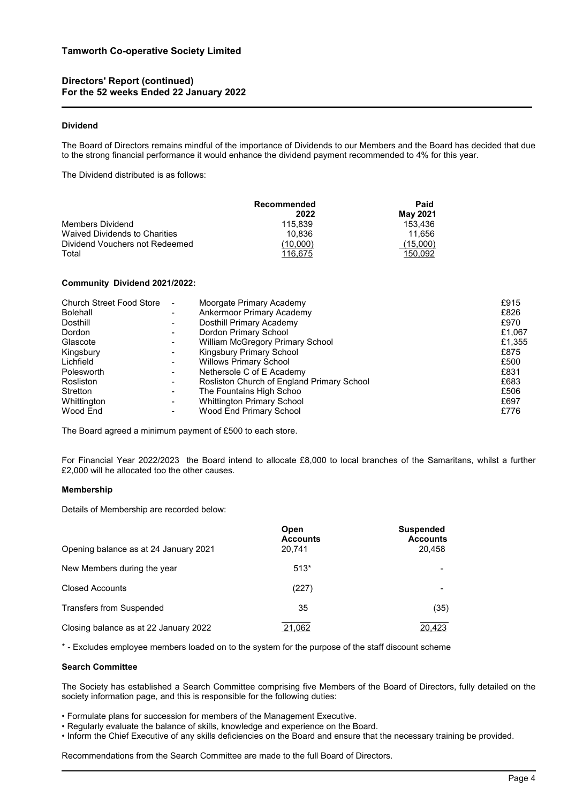## **Dividend**

The Board of Directors remains mindful of the importance of Dividends to our Members and the Board has decided that due to the strong financial performance it would enhance the dividend payment recommended to 4% for this year.

The Dividend distributed is as follows:

|                                | Recommended | Paid            |
|--------------------------------|-------------|-----------------|
|                                | 2022        | <b>May 2021</b> |
| Members Dividend               | 115.839     | 153.436         |
| Waived Dividends to Charities  | 10.836      | 11.656          |
| Dividend Vouchers not Redeemed | (10.000)    | (15,000)        |
| Total                          | 116.675     | 150.092         |

#### **Community Dividend 2021/2022:**

| <b>Church Street Food Store</b><br><b>Bolehall</b><br>Dosthill<br>Dordon | $\blacksquare$ | Moorgate Primary Academy<br>Ankermoor Primary Academy<br>Dosthill Primary Academy<br>Dordon Primary School | £915<br>£826<br>£970<br>£1,067 |
|--------------------------------------------------------------------------|----------------|------------------------------------------------------------------------------------------------------------|--------------------------------|
| Glascote<br>Kingsbury                                                    |                | <b>William McGregory Primary School</b><br>Kingsbury Primary School                                        | £1,355<br>£875                 |
| Lichfield<br>Polesworth                                                  |                | <b>Willows Primary School</b><br>Nethersole C of E Academy                                                 | £500<br>£831                   |
| Rosliston<br>Stretton                                                    |                | Rosliston Church of England Primary School<br>The Fountains High Schoo                                     | £683<br>£506                   |
| Whittington<br>Wood End                                                  |                | Whittington Primary School<br>Wood End Primary School                                                      | £697<br>£776                   |

The Board agreed a minimum payment of £500 to each store.

For Financial Year 2022/2023 the Board intend to allocate £8,000 to local branches of the Samaritans, whilst a further £2,000 will he allocated too the other causes.

## **Membership**

Details of Membership are recorded below:

| Opening balance as at 24 January 2021 | Open<br><b>Accounts</b><br>20.741 | <b>Suspended</b><br><b>Accounts</b><br>20,458 |
|---------------------------------------|-----------------------------------|-----------------------------------------------|
| New Members during the year           | $513*$                            |                                               |
| <b>Closed Accounts</b>                | (227)                             |                                               |
| <b>Transfers from Suspended</b>       | 35                                | (35)                                          |
| Closing balance as at 22 January 2022 | 21,062                            | 20.423                                        |

\* - Excludes employee members loaded on to the system for the purpose of the staff discount scheme

#### **Search Committee**

The Society has established a Search Committee comprising five Members of the Board of Directors, fully detailed on the society information page, and this is responsible for the following duties:

- Formulate plans for succession for members of the Management Executive.
- Regularly evaluate the balance of skills, knowledge and experience on the Board.
- Inform the Chief Executive of any skills deficiencies on the Board and ensure that the necessary training be provided.

Recommendations from the Search Committee are made to the full Board of Directors.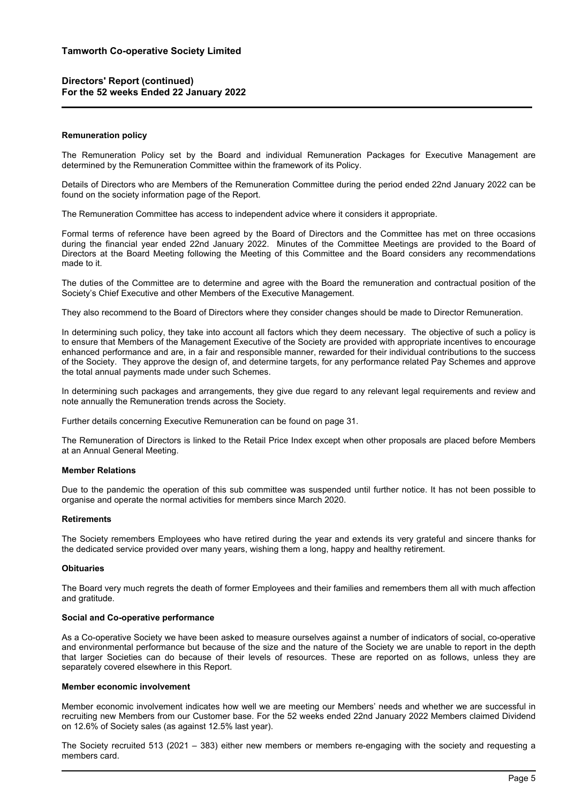## **Remuneration policy**

The Remuneration Policy set by the Board and individual Remuneration Packages for Executive Management are determined by the Remuneration Committee within the framework of its Policy.

Details of Directors who are Members of the Remuneration Committee during the period ended 22nd January 2022 can be found on the society information page of the Report.

The Remuneration Committee has access to independent advice where it considers it appropriate.

Formal terms of reference have been agreed by the Board of Directors and the Committee has met on three occasions during the financial year ended 22nd January 2022. Minutes of the Committee Meetings are provided to the Board of Directors at the Board Meeting following the Meeting of this Committee and the Board considers any recommendations made to it.

The duties of the Committee are to determine and agree with the Board the remuneration and contractual position of the Society's Chief Executive and other Members of the Executive Management.

They also recommend to the Board of Directors where they consider changes should be made to Director Remuneration.

In determining such policy, they take into account all factors which they deem necessary. The objective of such a policy is to ensure that Members of the Management Executive of the Society are provided with appropriate incentives to encourage enhanced performance and are, in a fair and responsible manner, rewarded for their individual contributions to the success of the Society. They approve the design of, and determine targets, for any performance related Pay Schemes and approve the total annual payments made under such Schemes.

In determining such packages and arrangements, they give due regard to any relevant legal requirements and review and note annually the Remuneration trends across the Society.

Further details concerning Executive Remuneration can be found on page 31.

The Remuneration of Directors is linked to the Retail Price Index except when other proposals are placed before Members at an Annual General Meeting.

## **Member Relations**

Due to the pandemic the operation of this sub committee was suspended until further notice. It has not been possible to organise and operate the normal activities for members since March 2020.

# **Retirements**

The Society remembers Employees who have retired during the year and extends its very grateful and sincere thanks for the dedicated service provided over many years, wishing them a long, happy and healthy retirement.

## **Obituaries**

The Board very much regrets the death of former Employees and their families and remembers them all with much affection and gratitude.

## **Social and Co-operative performance**

As a Co-operative Society we have been asked to measure ourselves against a number of indicators of social, co-operative and environmental performance but because of the size and the nature of the Society we are unable to report in the depth that larger Societies can do because of their levels of resources. These are reported on as follows, unless they are separately covered elsewhere in this Report.

#### **Member economic involvement**

Member economic involvement indicates how well we are meeting our Members' needs and whether we are successful in recruiting new Members from our Customer base. For the 52 weeks ended 22nd January 2022 Members claimed Dividend on 12.6% of Society sales (as against 12.5% last year).

The Society recruited 513 (2021 – 383) either new members or members re-engaging with the society and requesting a members card.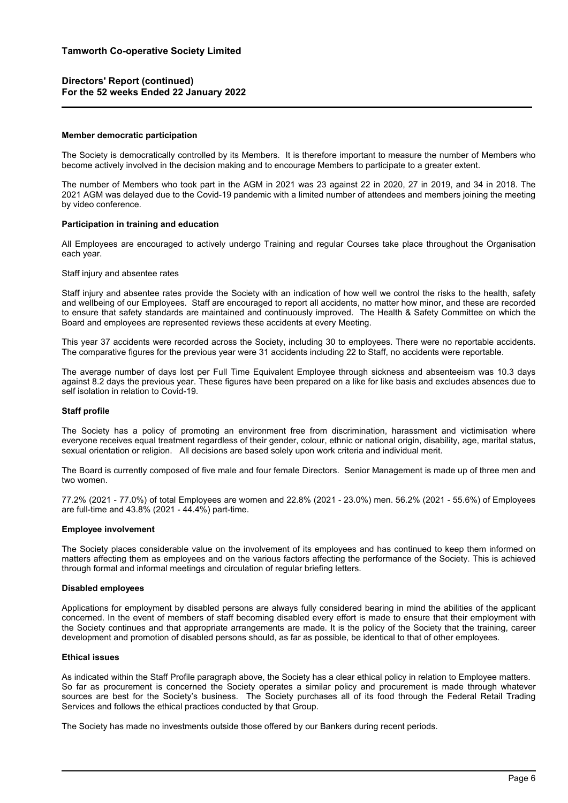## **Member democratic participation**

The Society is democratically controlled by its Members. It is therefore important to measure the number of Members who become actively involved in the decision making and to encourage Members to participate to a greater extent.

The number of Members who took part in the AGM in 2021 was 23 against 22 in 2020, 27 in 2019, and 34 in 2018. The 2021 AGM was delayed due to the Covid-19 pandemic with a limited number of attendees and members joining the meeting by video conference.

#### **Participation in training and education**

All Employees are encouraged to actively undergo Training and regular Courses take place throughout the Organisation each year.

#### Staff injury and absentee rates

Staff injury and absentee rates provide the Society with an indication of how well we control the risks to the health, safety and wellbeing of our Employees. Staff are encouraged to report all accidents, no matter how minor, and these are recorded to ensure that safety standards are maintained and continuously improved. The Health & Safety Committee on which the Board and employees are represented reviews these accidents at every Meeting.

This year 37 accidents were recorded across the Society, including 30 to employees. There were no reportable accidents. The comparative figures for the previous year were 31 accidents including 22 to Staff, no accidents were reportable.

The average number of days lost per Full Time Equivalent Employee through sickness and absenteeism was 10.3 days against 8.2 days the previous year. These figures have been prepared on a like for like basis and excludes absences due to self isolation in relation to Covid-19.

## **Staff profile**

The Society has a policy of promoting an environment free from discrimination, harassment and victimisation where everyone receives equal treatment regardless of their gender, colour, ethnic or national origin, disability, age, marital status, sexual orientation or religion. All decisions are based solely upon work criteria and individual merit.

The Board is currently composed of five male and four female Directors. Senior Management is made up of three men and two women.

77.2% (2021 - 77.0%) of total Employees are women and 22.8% (2021 - 23.0%) men. 56.2% (2021 - 55.6%) of Employees are full-time and 43.8% (2021 - 44.4%) part-time.

#### **Employee involvement**

The Society places considerable value on the involvement of its employees and has continued to keep them informed on matters affecting them as employees and on the various factors affecting the performance of the Society. This is achieved through formal and informal meetings and circulation of regular briefing letters.

## **Disabled employees**

Applications for employment by disabled persons are always fully considered bearing in mind the abilities of the applicant concerned. In the event of members of staff becoming disabled every effort is made to ensure that their employment with the Society continues and that appropriate arrangements are made. It is the policy of the Society that the training, career development and promotion of disabled persons should, as far as possible, be identical to that of other employees.

#### **Ethical issues**

As indicated within the Staff Profile paragraph above, the Society has a clear ethical policy in relation to Employee matters. So far as procurement is concerned the Society operates a similar policy and procurement is made through whatever sources are best for the Society's business. The Society purchases all of its food through the Federal Retail Trading Services and follows the ethical practices conducted by that Group.

The Society has made no investments outside those offered by our Bankers during recent periods.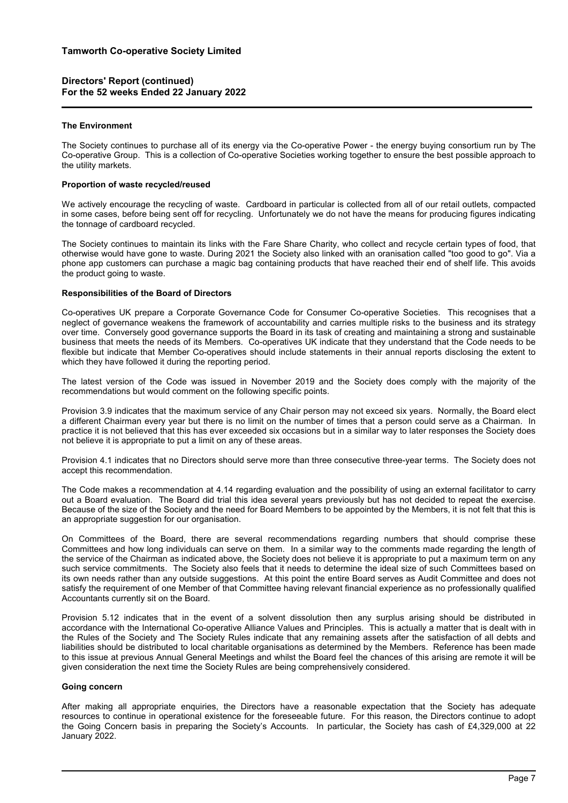## **The Environment**

The Society continues to purchase all of its energy via the Co-operative Power - the energy buying consortium run by The Co-operative Group. This is a collection of Co-operative Societies working together to ensure the best possible approach to the utility markets.

## **Proportion of waste recycled/reused**

We actively encourage the recycling of waste. Cardboard in particular is collected from all of our retail outlets, compacted in some cases, before being sent off for recycling. Unfortunately we do not have the means for producing figures indicating the tonnage of cardboard recycled.

The Society continues to maintain its links with the Fare Share Charity, who collect and recycle certain types of food, that otherwise would have gone to waste. During 2021 the Society also linked with an oranisation called "too good to go". Via a phone app customers can purchase a magic bag containing products that have reached their end of shelf life. This avoids the product going to waste.

## **Responsibilities of the Board of Directors**

Co-operatives UK prepare a Corporate Governance Code for Consumer Co-operative Societies. This recognises that a neglect of governance weakens the framework of accountability and carries multiple risks to the business and its strategy over time. Conversely good governance supports the Board in its task of creating and maintaining a strong and sustainable business that meets the needs of its Members. Co-operatives UK indicate that they understand that the Code needs to be flexible but indicate that Member Co-operatives should include statements in their annual reports disclosing the extent to which they have followed it during the reporting period.

The latest version of the Code was issued in November 2019 and the Society does comply with the majority of the recommendations but would comment on the following specific points.

Provision 3.9 indicates that the maximum service of any Chair person may not exceed six years. Normally, the Board elect a different Chairman every year but there is no limit on the number of times that a person could serve as a Chairman. In practice it is not believed that this has ever exceeded six occasions but in a similar way to later responses the Society does not believe it is appropriate to put a limit on any of these areas.

Provision 4.1 indicates that no Directors should serve more than three consecutive three-year terms. The Society does not accept this recommendation.

The Code makes a recommendation at 4.14 regarding evaluation and the possibility of using an external facilitator to carry out a Board evaluation. The Board did trial this idea several years previously but has not decided to repeat the exercise. Because of the size of the Society and the need for Board Members to be appointed by the Members, it is not felt that this is an appropriate suggestion for our organisation.

On Committees of the Board, there are several recommendations regarding numbers that should comprise these Committees and how long individuals can serve on them. In a similar way to the comments made regarding the length of the service of the Chairman as indicated above, the Society does not believe it is appropriate to put a maximum term on any such service commitments. The Society also feels that it needs to determine the ideal size of such Committees based on its own needs rather than any outside suggestions. At this point the entire Board serves as Audit Committee and does not satisfy the requirement of one Member of that Committee having relevant financial experience as no professionally qualified Accountants currently sit on the Board.

Provision 5.12 indicates that in the event of a solvent dissolution then any surplus arising should be distributed in accordance with the International Co-operative Alliance Values and Principles. This is actually a matter that is dealt with in the Rules of the Society and The Society Rules indicate that any remaining assets after the satisfaction of all debts and liabilities should be distributed to local charitable organisations as determined by the Members. Reference has been made to this issue at previous Annual General Meetings and whilst the Board feel the chances of this arising are remote it will be given consideration the next time the Society Rules are being comprehensively considered.

## **Going concern**

After making all appropriate enquiries, the Directors have a reasonable expectation that the Society has adequate resources to continue in operational existence for the foreseeable future. For this reason, the Directors continue to adopt the Going Concern basis in preparing the Society's Accounts. In particular, the Society has cash of £4,329,000 at 22 January 2022.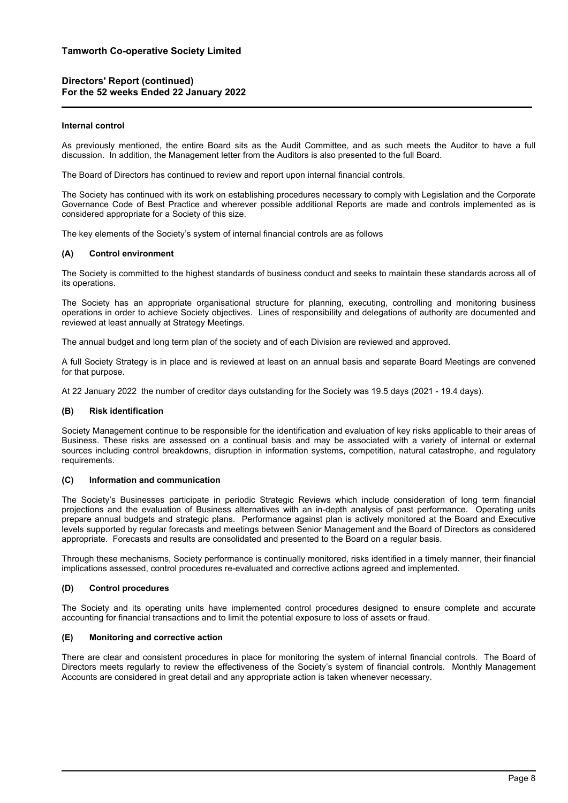# **Tamworth Co-operative Society Limited**

# **Directors' Report (continued) For the 52 weeks Ended 22 January 2022**

## **Internal control**

As previously mentioned, the entire Board sits as the Audit Committee, and as such meets the Auditor to have a full discussion. In addition, the Management letter from the Auditors is also presented to the full Board.

The Board of Directors has continued to review and report upon internal financial controls.

The Society has continued with its work on establishing procedures necessary to comply with Legislation and the Corporate Governance Code of Best Practice and wherever possible additional Reports are made and controls implemented as is considered appropriate for a Society of this size.

The key elements of the Society's system of internal financial controls are as follows

## **(A) Control environment**

The Society is committed to the highest standards of business conduct and seeks to maintain these standards across all of its operations.

The Society has an appropriate organisational structure for planning, executing, controlling and monitoring business operations in order to achieve Society objectives. Lines of responsibility and delegations of authority are documented and reviewed at least annually at Strategy Meetings.

The annual budget and long term plan of the society and of each Division are reviewed and approved.

A full Society Strategy is in place and is reviewed at least on an annual basis and separate Board Meetings are convened for that purpose.

At 22 January 2022 the number of creditor days outstanding for the Society was 19.5 days (2021 - 19.4 days).

## **(B) Risk identification**

Society Management continue to be responsible for the identification and evaluation of key risks applicable to their areas of Business. These risks are assessed on a continual basis and may be associated with a variety of internal or external sources including control breakdowns, disruption in information systems, competition, natural catastrophe, and regulatory requirements.

## **(C) Information and communication**

The Society's Businesses participate in periodic Strategic Reviews which include consideration of long term financial projections and the evaluation of Business alternatives with an in-depth analysis of past performance. Operating units prepare annual budgets and strategic plans. Performance against plan is actively monitored at the Board and Executive levels supported by regular forecasts and meetings between Senior Management and the Board of Directors as considered appropriate. Forecasts and results are consolidated and presented to the Board on a regular basis.

Through these mechanisms, Society performance is continually monitored, risks identified in a timely manner, their financial implications assessed, control procedures re-evaluated and corrective actions agreed and implemented.

## **(D) Control procedures**

The Society and its operating units have implemented control procedures designed to ensure complete and accurate accounting for financial transactions and to limit the potential exposure to loss of assets or fraud.

## **(E) Monitoring and corrective action**

There are clear and consistent procedures in place for monitoring the system of internal financial controls. The Board of Directors meets regularly to review the effectiveness of the Society's system of financial controls. Monthly Management Accounts are considered in great detail and any appropriate action is taken whenever necessary.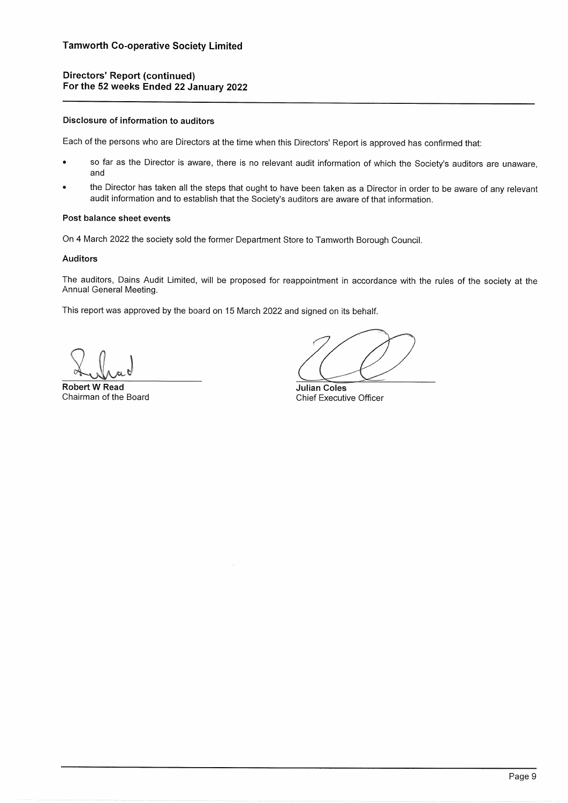## Disclosure of information to auditors

Each of the persons who are Directors at the time when this Directors' Report is approved has confirmed that:

- so far as the Director is aware, there is no relevant audit information of which the Society's auditors are unaware, and
- the Director has taken all the steps that ought to have been taken as a Director in order to be aware of any relevant audit information and to establish that the Society's auditors are aware of that information.

# Post balance sheet events

On 4 March 2022 the society sold the former Department Store to Tamworth Borough Council.

## **Auditors**

The auditors, Dains Audit Limited, will be proposed for reappointment in accordance with the rules of the society at the Annual General Meeting.

This report was approved by the board on 15 March 2022 and signed on its behalf.

**Robert W Read** Chairman of the Board

**Julian Coles** Chief Executive Officer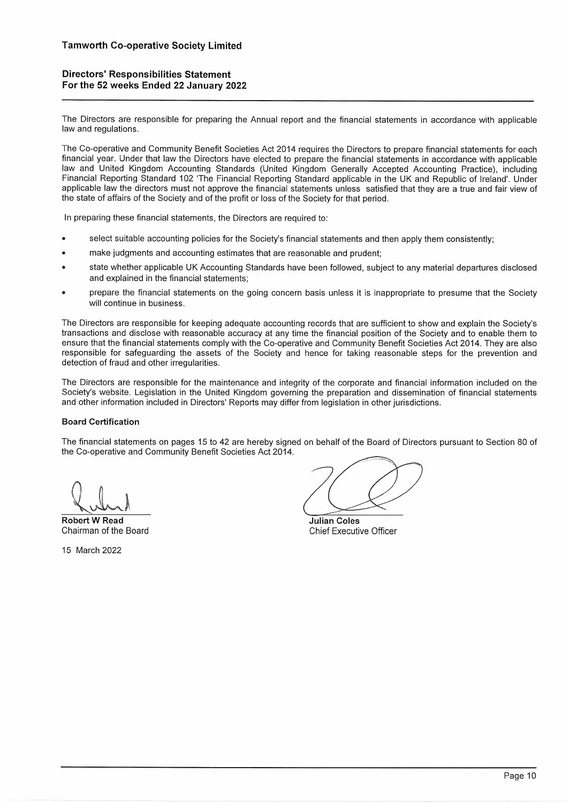# **Directors' Responsibilities Statement** For the 52 weeks Ended 22 January 2022

The Directors are responsible for preparing the Annual report and the financial statements in accordance with applicable law and regulations.

The Co-operative and Community Benefit Societies Act 2014 requires the Directors to prepare financial statements for each financial year. Under that law the Directors have elected to prepare the financial statements in accordance with applicable law and United Kingdom Accounting Standards (United Kingdom Generally Accepted Accounting Practice), including Financial Reporting Standard 102 'The Financial Reporting Standard applicable in the UK and Republic of Ireland'. Under applicable law the directors must not approve the financial statements unless satisfied that they are a true and fair view of the state of affairs of the Society and of the profit or loss of the Society for that period.

In preparing these financial statements, the Directors are required to:

- select suitable accounting policies for the Society's financial statements and then apply them consistently;
- make judgments and accounting estimates that are reasonable and prudent;
- state whether applicable UK Accounting Standards have been followed, subject to any material departures disclosed and explained in the financial statements;
- prepare the financial statements on the going concern basis unless it is inappropriate to presume that the Society will continue in business.

The Directors are responsible for keeping adequate accounting records that are sufficient to show and explain the Society's transactions and disclose with reasonable accuracy at any time the financial position of the Society and to enable them to ensure that the financial statements comply with the Co-operative and Community Benefit Societies Act 2014. They are also responsible for safeguarding the assets of the Society and hence for taking reasonable steps for the prevention and detection of fraud and other irregularities.

The Directors are responsible for the maintenance and integrity of the corporate and financial information included on the Society's website. Legislation in the United Kingdom governing the preparation and dissemination of financial statements and other information included in Directors' Reports may differ from legislation in other jurisdictions.

# **Board Certification**

The financial statements on pages 15 to 42 are hereby signed on behalf of the Board of Directors pursuant to Section 80 of the Co-operative and Community Benefit Societies Act 2014.

**Robert W Read** Chairman of the Board

15 March 2022

Julian Coles **Chief Executive Officer**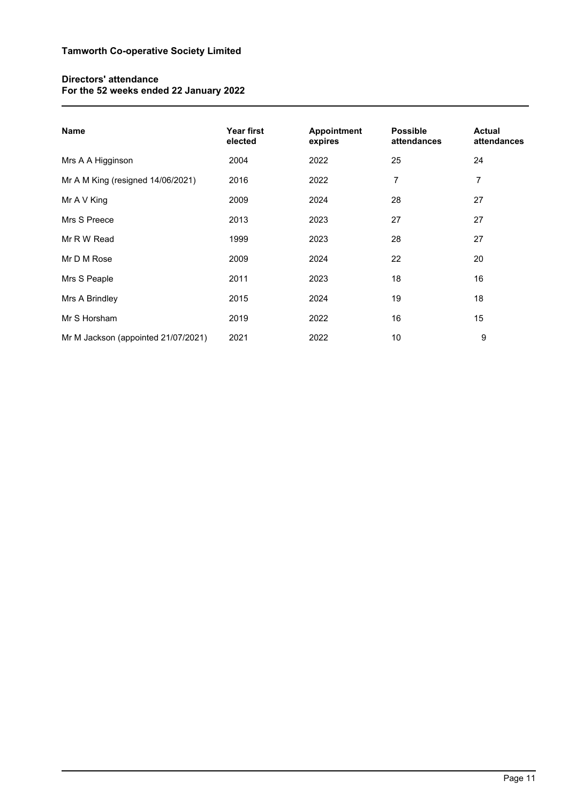# **Directors' attendance For the 52 weeks ended 22 January 2022**

| <b>Name</b>                         | Year first<br>elected | Appointment<br>expires | <b>Possible</b><br>attendances | <b>Actual</b><br>attendances |
|-------------------------------------|-----------------------|------------------------|--------------------------------|------------------------------|
| Mrs A A Higginson                   | 2004                  | 2022                   | 25                             | 24                           |
| Mr A M King (resigned 14/06/2021)   | 2016                  | 2022                   | 7                              | 7                            |
| Mr A V King                         | 2009                  | 2024                   | 28                             | 27                           |
| Mrs S Preece                        | 2013                  | 2023                   | 27                             | 27                           |
| Mr R W Read                         | 1999                  | 2023                   | 28                             | 27                           |
| Mr D M Rose                         | 2009                  | 2024                   | 22                             | 20                           |
| Mrs S Peaple                        | 2011                  | 2023                   | 18                             | 16                           |
| Mrs A Brindley                      | 2015                  | 2024                   | 19                             | 18                           |
| Mr S Horsham                        | 2019                  | 2022                   | 16                             | 15                           |
| Mr M Jackson (appointed 21/07/2021) | 2021                  | 2022                   | 10                             | 9                            |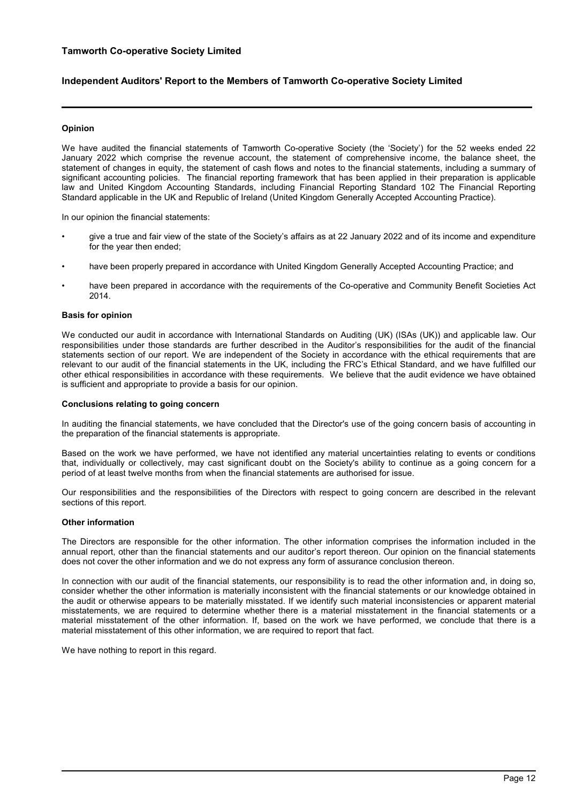# **Tamworth Co-operative Society Limited**

# **Independent Auditors' Report to the Members of Tamworth Co-operative Society Limited**

## **Opinion**

We have audited the financial statements of Tamworth Co-operative Society (the 'Society') for the 52 weeks ended 22 January 2022 which comprise the revenue account, the statement of comprehensive income, the balance sheet, the statement of changes in equity, the statement of cash flows and notes to the financial statements, including a summary of significant accounting policies. The financial reporting framework that has been applied in their preparation is applicable law and United Kingdom Accounting Standards, including Financial Reporting Standard 102 The Financial Reporting Standard applicable in the UK and Republic of Ireland (United Kingdom Generally Accepted Accounting Practice).

In our opinion the financial statements:

- give a true and fair view of the state of the Society's affairs as at 22 January 2022 and of its income and expenditure for the year then ended;
- have been properly prepared in accordance with United Kingdom Generally Accepted Accounting Practice; and
- have been prepared in accordance with the requirements of the Co-operative and Community Benefit Societies Act 2014.

## **Basis for opinion**

We conducted our audit in accordance with International Standards on Auditing (UK) (ISAs (UK)) and applicable law. Our responsibilities under those standards are further described in the Auditor's responsibilities for the audit of the financial statements section of our report. We are independent of the Society in accordance with the ethical requirements that are relevant to our audit of the financial statements in the UK, including the FRC's Ethical Standard, and we have fulfilled our other ethical responsibilities in accordance with these requirements. We believe that the audit evidence we have obtained is sufficient and appropriate to provide a basis for our opinion.

#### **Conclusions relating to going concern**

In auditing the financial statements, we have concluded that the Director's use of the going concern basis of accounting in the preparation of the financial statements is appropriate.

Based on the work we have performed, we have not identified any material uncertainties relating to events or conditions that, individually or collectively, may cast significant doubt on the Society's ability to continue as a going concern for a period of at least twelve months from when the financial statements are authorised for issue.

Our responsibilities and the responsibilities of the Directors with respect to going concern are described in the relevant sections of this report.

## **Other information**

The Directors are responsible for the other information. The other information comprises the information included in the annual report, other than the financial statements and our auditor's report thereon. Our opinion on the financial statements does not cover the other information and we do not express any form of assurance conclusion thereon.

In connection with our audit of the financial statements, our responsibility is to read the other information and, in doing so, consider whether the other information is materially inconsistent with the financial statements or our knowledge obtained in the audit or otherwise appears to be materially misstated. If we identify such material inconsistencies or apparent material misstatements, we are required to determine whether there is a material misstatement in the financial statements or a material misstatement of the other information. If, based on the work we have performed, we conclude that there is a material misstatement of this other information, we are required to report that fact.

We have nothing to report in this regard.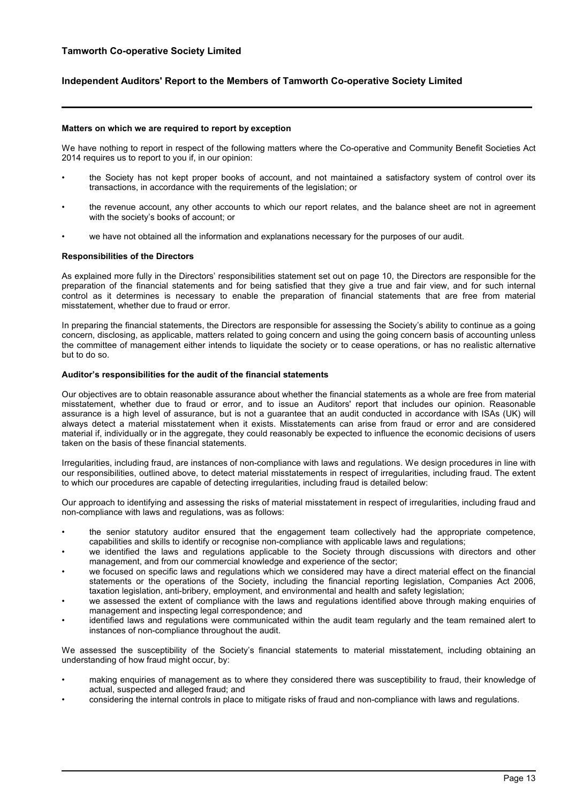# **Independent Auditors' Report to the Members of Tamworth Co-operative Society Limited**

## **Matters on which we are required to report by exception**

We have nothing to report in respect of the following matters where the Co-operative and Community Benefit Societies Act 2014 requires us to report to you if, in our opinion:

- the Society has not kept proper books of account, and not maintained a satisfactory system of control over its transactions, in accordance with the requirements of the legislation; or
- the revenue account, any other accounts to which our report relates, and the balance sheet are not in agreement with the society's books of account; or
- we have not obtained all the information and explanations necessary for the purposes of our audit.

#### **Responsibilities of the Directors**

As explained more fully in the Directors' responsibilities statement set out on page 10, the Directors are responsible for the preparation of the financial statements and for being satisfied that they give a true and fair view, and for such internal control as it determines is necessary to enable the preparation of financial statements that are free from material misstatement, whether due to fraud or error.

In preparing the financial statements, the Directors are responsible for assessing the Society's ability to continue as a going concern, disclosing, as applicable, matters related to going concern and using the going concern basis of accounting unless the committee of management either intends to liquidate the society or to cease operations, or has no realistic alternative but to do so.

#### **Auditor's responsibilities for the audit of the financial statements**

Our objectives are to obtain reasonable assurance about whether the financial statements as a whole are free from material misstatement, whether due to fraud or error, and to issue an Auditors' report that includes our opinion. Reasonable assurance is a high level of assurance, but is not a guarantee that an audit conducted in accordance with ISAs (UK) will always detect a material misstatement when it exists. Misstatements can arise from fraud or error and are considered material if, individually or in the aggregate, they could reasonably be expected to influence the economic decisions of users taken on the basis of these financial statements.

Irregularities, including fraud, are instances of non-compliance with laws and regulations. We design procedures in line with our responsibilities, outlined above, to detect material misstatements in respect of irregularities, including fraud. The extent to which our procedures are capable of detecting irregularities, including fraud is detailed below:

Our approach to identifying and assessing the risks of material misstatement in respect of irregularities, including fraud and non-compliance with laws and regulations, was as follows:

- the senior statutory auditor ensured that the engagement team collectively had the appropriate competence, capabilities and skills to identify or recognise non-compliance with applicable laws and regulations;
- we identified the laws and regulations applicable to the Society through discussions with directors and other management, and from our commercial knowledge and experience of the sector;
- we focused on specific laws and regulations which we considered may have a direct material effect on the financial statements or the operations of the Society, including the financial reporting legislation, Companies Act 2006, taxation legislation, anti-bribery, employment, and environmental and health and safety legislation;
- we assessed the extent of compliance with the laws and regulations identified above through making enquiries of management and inspecting legal correspondence; and
- identified laws and regulations were communicated within the audit team regularly and the team remained alert to instances of non-compliance throughout the audit.

We assessed the susceptibility of the Society's financial statements to material misstatement, including obtaining an understanding of how fraud might occur, by:

- making enquiries of management as to where they considered there was susceptibility to fraud, their knowledge of actual, suspected and alleged fraud; and
- considering the internal controls in place to mitigate risks of fraud and non-compliance with laws and regulations.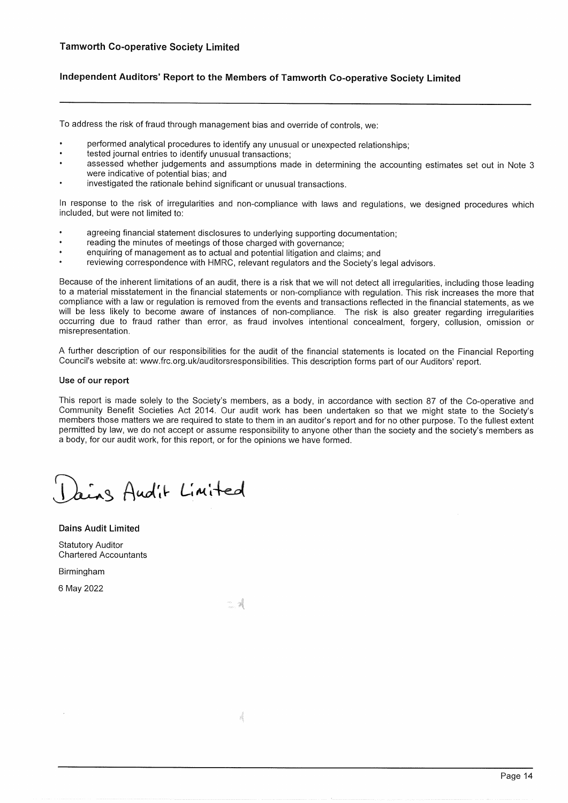# Independent Auditors' Report to the Members of Tamworth Co-operative Society Limited

To address the risk of fraud through management bias and override of controls, we:

- performed analytical procedures to identify any unusual or unexpected relationships:
- tested journal entries to identify unusual transactions;
- assessed whether judgements and assumptions made in determining the accounting estimates set out in Note 3 were indicative of potential bias; and
- investigated the rationale behind significant or unusual transactions.

In response to the risk of irregularities and non-compliance with laws and regulations, we designed procedures which included, but were not limited to:

- agreeing financial statement disclosures to underlying supporting documentation;
- reading the minutes of meetings of those charged with governance;
- enquiring of management as to actual and potential litigation and claims; and
- reviewing correspondence with HMRC, relevant regulators and the Society's legal advisors.

Because of the inherent limitations of an audit, there is a risk that we will not detect all irregularities, including those leading to a material misstatement in the financial statements or non-compliance with regulation. This risk increases the more that compliance with a law or regulation is removed from the events and transactions reflected in the financial statements, as we will be less likely to become aware of instances of non-compliance. The risk is also greater regarding irregularities occurring due to fraud rather than error, as fraud involves intentional concealment, forgery, collusion, omission or misrepresentation.

A further description of our responsibilities for the audit of the financial statements is located on the Financial Reporting Council's website at: www.frc.org.uk/auditorsresponsibilities. This description forms part of our Auditors' report.

## Use of our report

This report is made solely to the Society's members, as a body, in accordance with section 87 of the Co-operative and Community Benefit Societies Act 2014. Our audit work has been undertaken so that we might state to the Society's members those matters we are required to state to them in an auditor's report and for no other purpose. To the fullest extent permitted by law, we do not accept or assume responsibility to anyone other than the society and the society's members as a body, for our audit work, for this report, or for the opinions we have formed.

Ling Audit Limited

**Dains Audit Limited Statutory Auditor Chartered Accountants** 

Birmingham

6 May 2022

- 1

Á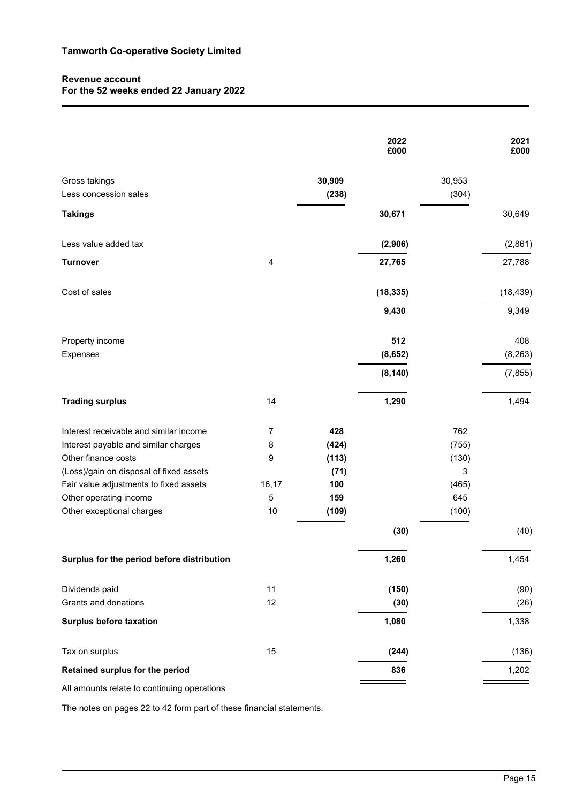# **Revenue account For the 52 weeks ended 22 January 2022**

|                                                     |                |                 | 2022<br>£000   |                 | 2021<br>£000    |
|-----------------------------------------------------|----------------|-----------------|----------------|-----------------|-----------------|
| Gross takings<br>Less concession sales              |                | 30,909<br>(238) |                | 30,953<br>(304) |                 |
| <b>Takings</b>                                      |                |                 | 30,671         |                 | 30,649          |
| Less value added tax                                |                |                 | (2,906)        |                 | (2,861)         |
| <b>Turnover</b>                                     | $\overline{4}$ |                 | 27,765         |                 | 27,788          |
| Cost of sales                                       |                |                 | (18, 335)      |                 | (18, 439)       |
|                                                     |                |                 | 9,430          |                 | 9,349           |
| Property income<br>Expenses                         |                |                 | 512<br>(8,652) |                 | 408<br>(8, 263) |
|                                                     |                |                 | (8, 140)       |                 | (7, 855)        |
| <b>Trading surplus</b>                              | 14             |                 | 1,290          |                 | 1,494           |
| Interest receivable and similar income              | 7              | 428             |                | 762             |                 |
| Interest payable and similar charges                | 8              | (424)           |                | (755)           |                 |
| Other finance costs                                 | 9              | (113)           |                | (130)           |                 |
| (Loss)/gain on disposal of fixed assets             |                | (71)            |                | 3               |                 |
| Fair value adjustments to fixed assets              | 16,17          | 100             |                | (465)           |                 |
| Other operating income<br>Other exceptional charges | 5<br>10        | 159<br>(109)    |                | 645<br>(100)    |                 |
|                                                     |                |                 | (30)           |                 | (40)            |
| Surplus for the period before distribution          |                |                 | 1,260          |                 | 1,454           |
| Dividends paid                                      | 11             |                 | (150)          |                 | (90)            |
| Grants and donations                                | 12             |                 | (30)           |                 | (26)            |
| <b>Surplus before taxation</b>                      |                |                 | 1,080          |                 | 1,338           |
| Tax on surplus                                      | 15             |                 | (244)          |                 | (136)           |
| Retained surplus for the period                     |                |                 | 836            |                 | 1,202           |
| unto rolato to continuing on                        |                |                 |                |                 |                 |

All amounts relate to continuing operations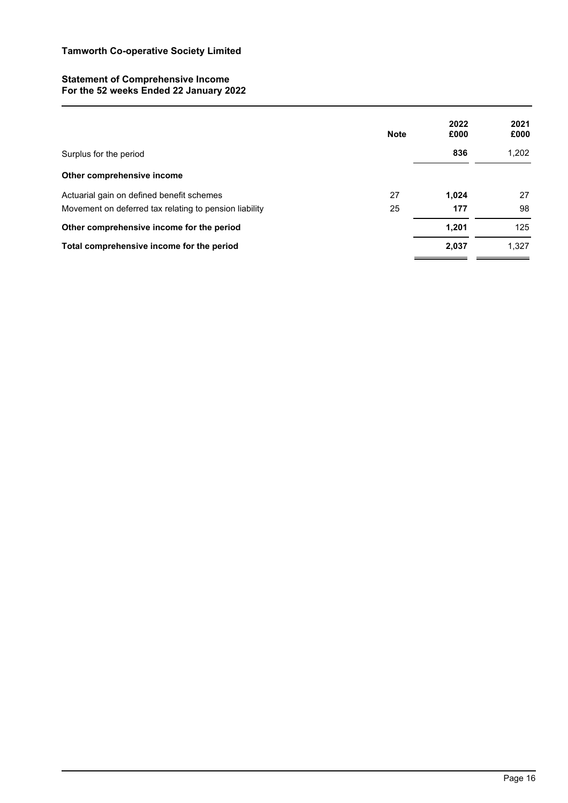# **Statement of Comprehensive Income For the 52 weeks Ended 22 January 2022**

|                                                        | <b>Note</b> | 2022<br>£000 | 2021<br>£000 |
|--------------------------------------------------------|-------------|--------------|--------------|
| Surplus for the period                                 |             | 836          | 1,202        |
| Other comprehensive income                             |             |              |              |
| Actuarial gain on defined benefit schemes              | 27          | 1.024        | 27           |
| Movement on deferred tax relating to pension liability | 25          | 177          | 98           |
| Other comprehensive income for the period              |             | 1,201        | 125          |
| Total comprehensive income for the period              |             | 2,037        | 1.327        |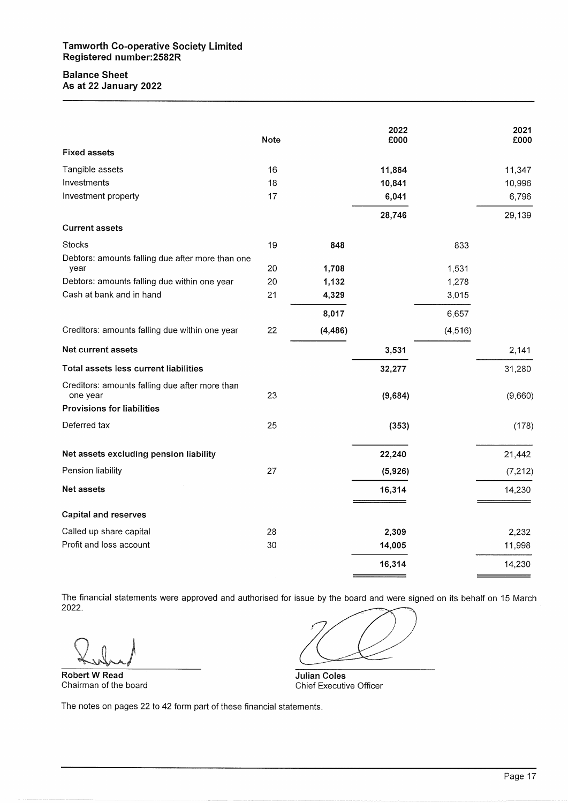# **Balance Sheet** As at 22 January 2022

|                                                            | <b>Note</b> |          | 2022<br>£000 |          | 2021<br>£000 |
|------------------------------------------------------------|-------------|----------|--------------|----------|--------------|
| <b>Fixed assets</b>                                        |             |          |              |          |              |
| Tangible assets                                            | 16          |          | 11,864       |          | 11,347       |
| Investments                                                | 18          |          | 10,841       |          | 10,996       |
| Investment property                                        | 17          |          | 6,041        |          | 6,796        |
|                                                            |             |          | 28,746       |          | 29,139       |
| <b>Current assets</b>                                      |             |          |              |          |              |
| <b>Stocks</b>                                              | 19          | 848      |              | 833      |              |
| Debtors: amounts falling due after more than one           |             |          |              |          |              |
| year                                                       | 20          | 1,708    |              | 1,531    |              |
| Debtors: amounts falling due within one year               | 20          | 1,132    |              | 1,278    |              |
| Cash at bank and in hand                                   | 21          | 4,329    |              | 3,015    |              |
|                                                            |             | 8,017    |              | 6,657    |              |
| Creditors: amounts falling due within one year             | 22          | (4, 486) |              | (4, 516) |              |
| Net current assets                                         |             |          | 3,531        |          | 2,141        |
| Total assets less current liabilities                      |             |          | 32,277       |          | 31,280       |
| Creditors: amounts falling due after more than<br>one year | 23          |          | (9,684)      |          | (9,660)      |
| <b>Provisions for liabilities</b>                          |             |          |              |          |              |
| Deferred tax                                               | 25          |          | (353)        |          | (178)        |
| Net assets excluding pension liability                     |             |          | 22,240       |          | 21,442       |
| Pension liability                                          | 27          |          | (5,926)      |          | (7, 212)     |
| Net assets                                                 |             |          | 16,314       |          | 14,230       |
| <b>Capital and reserves</b>                                |             |          |              |          |              |
| Called up share capital                                    | 28          |          | 2,309        |          | 2,232        |
| Profit and loss account                                    | 30          |          | 14,005       |          | 11,998       |
|                                                            |             |          | 16,314       |          | 14,230       |

The financial statements were approved and authorised for issue by the board and were signed on its behalf on 15 March 2022.

**Robert W Read** Chairman of the board

**Julian Coles Chief Executive Officer**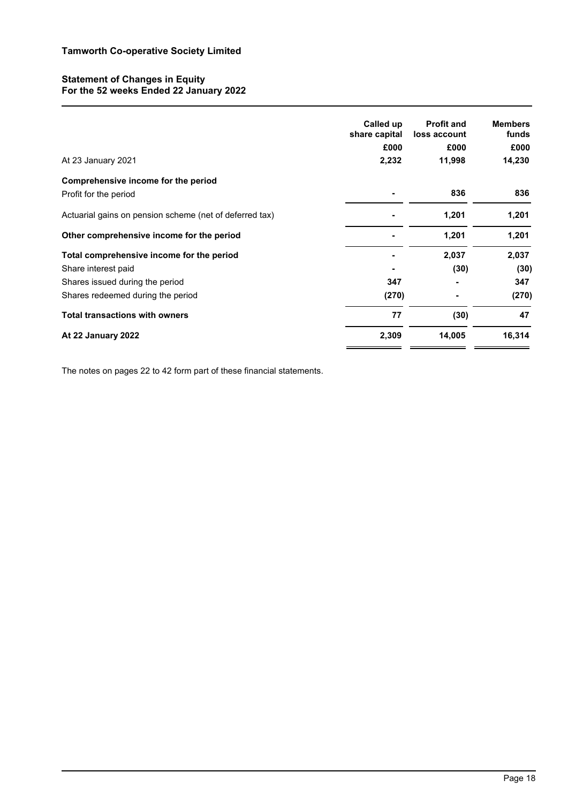# **Statement of Changes in Equity For the 52 weeks Ended 22 January 2022**

|                                                         | Called up<br>share capital<br>£000 | <b>Profit and</b><br>loss account<br>£000 | <b>Members</b><br>funds<br>£000 |
|---------------------------------------------------------|------------------------------------|-------------------------------------------|---------------------------------|
| At 23 January 2021                                      | 2,232                              | 11,998                                    | 14,230                          |
| Comprehensive income for the period                     |                                    |                                           |                                 |
| Profit for the period                                   |                                    | 836                                       | 836                             |
| Actuarial gains on pension scheme (net of deferred tax) |                                    | 1,201                                     | 1,201                           |
| Other comprehensive income for the period               |                                    | 1,201                                     | 1,201                           |
| Total comprehensive income for the period               |                                    | 2,037                                     | 2,037                           |
| Share interest paid                                     |                                    | (30)                                      | (30)                            |
| Shares issued during the period                         | 347                                |                                           | 347                             |
| Shares redeemed during the period                       | (270)                              |                                           | (270)                           |
| <b>Total transactions with owners</b>                   | 77                                 | (30)                                      | 47                              |
| At 22 January 2022                                      | 2,309                              | 14,005                                    | 16,314                          |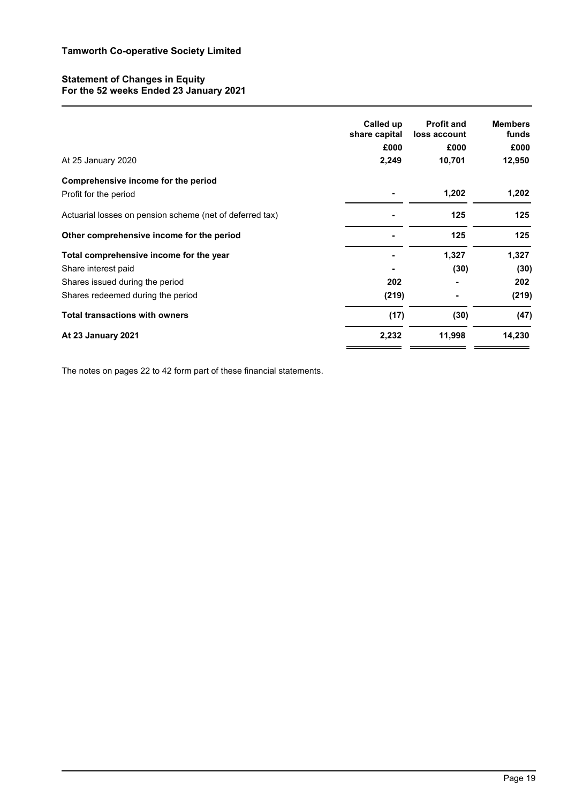# **Statement of Changes in Equity For the 52 weeks Ended 23 January 2021**

|                                                          | Called up<br>share capital | <b>Profit and</b><br>loss account | <b>Members</b><br>funds |
|----------------------------------------------------------|----------------------------|-----------------------------------|-------------------------|
|                                                          | £000                       | £000                              | £000                    |
| At 25 January 2020                                       | 2,249                      | 10,701                            | 12,950                  |
| Comprehensive income for the period                      |                            |                                   |                         |
| Profit for the period                                    |                            | 1,202                             | 1,202                   |
| Actuarial losses on pension scheme (net of deferred tax) |                            | 125                               | 125                     |
| Other comprehensive income for the period                |                            | 125                               | 125                     |
| Total comprehensive income for the year                  |                            | 1,327                             | 1,327                   |
| Share interest paid                                      |                            | (30)                              | (30)                    |
| Shares issued during the period                          | 202                        |                                   | 202                     |
| Shares redeemed during the period                        | (219)                      |                                   | (219)                   |
| <b>Total transactions with owners</b>                    | (17)                       | (30)                              | (47)                    |
| At 23 January 2021                                       | 2,232                      | 11,998                            | 14,230                  |
|                                                          |                            |                                   |                         |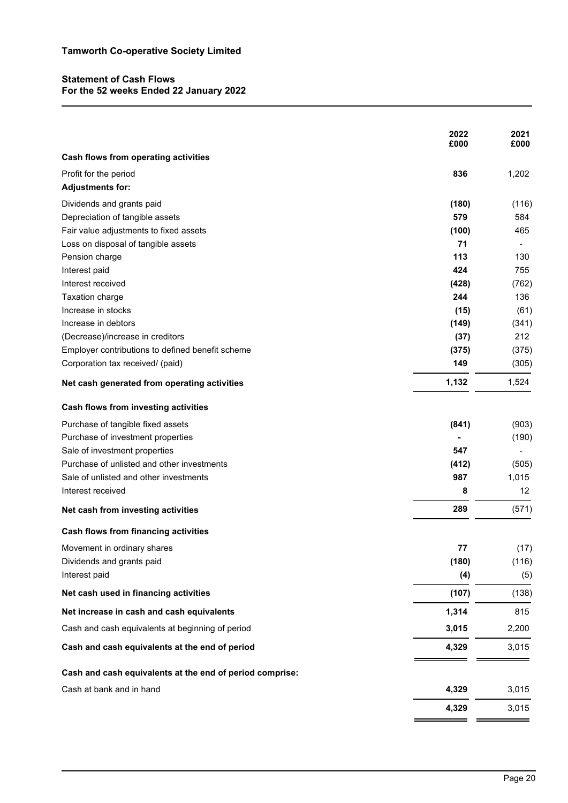# **Statement of Cash Flows For the 52 weeks Ended 22 January 2022**

| Cash flows from operating activities<br>836<br>Profit for the period<br>1,202<br><b>Adjustments for:</b><br>Dividends and grants paid<br>(180)<br>579<br>Depreciation of tangible assets<br>584<br>Fair value adjustments to fixed assets<br>(100)<br>465<br>71<br>Loss on disposal of tangible assets<br>113<br>Pension charge<br>130<br>424<br>Interest paid<br>755<br>Interest received<br>(428)<br>244<br><b>Taxation charge</b><br>Increase in stocks<br>(15)<br>Increase in debtors<br>(149)<br>212<br>(Decrease)/increase in creditors<br>(37)<br>Employer contributions to defined benefit scheme<br>(375)<br>149<br>Corporation tax received/ (paid)<br>1,132<br>1,524<br>Net cash generated from operating activities<br>Cash flows from investing activities<br>Purchase of tangible fixed assets<br>(841)<br>Purchase of investment properties<br>Sale of investment properties<br>547<br>Purchase of unlisted and other investments<br>(412)<br>Sale of unlisted and other investments<br>987<br>1,015<br>Interest received<br>8<br>12<br>289<br>Net cash from investing activities<br>Cash flows from financing activities<br>Movement in ordinary shares<br>77<br>Dividends and grants paid<br>(180)<br>Interest paid<br>(4)<br>Net cash used in financing activities<br>(107)<br>1,314<br>Net increase in cash and cash equivalents<br>Cash and cash equivalents at beginning of period<br>3,015<br>Cash and cash equivalents at the end of period<br>4,329<br>Cash and cash equivalents at the end of period comprise:<br>Cash at bank and in hand<br>4,329<br>4,329 | 2022<br>£000 | 2021<br>£000 |
|---------------------------------------------------------------------------------------------------------------------------------------------------------------------------------------------------------------------------------------------------------------------------------------------------------------------------------------------------------------------------------------------------------------------------------------------------------------------------------------------------------------------------------------------------------------------------------------------------------------------------------------------------------------------------------------------------------------------------------------------------------------------------------------------------------------------------------------------------------------------------------------------------------------------------------------------------------------------------------------------------------------------------------------------------------------------------------------------------------------------------------------------------------------------------------------------------------------------------------------------------------------------------------------------------------------------------------------------------------------------------------------------------------------------------------------------------------------------------------------------------------------------------------------------------------------------------------------|--------------|--------------|
|                                                                                                                                                                                                                                                                                                                                                                                                                                                                                                                                                                                                                                                                                                                                                                                                                                                                                                                                                                                                                                                                                                                                                                                                                                                                                                                                                                                                                                                                                                                                                                                       |              |              |
|                                                                                                                                                                                                                                                                                                                                                                                                                                                                                                                                                                                                                                                                                                                                                                                                                                                                                                                                                                                                                                                                                                                                                                                                                                                                                                                                                                                                                                                                                                                                                                                       |              |              |
|                                                                                                                                                                                                                                                                                                                                                                                                                                                                                                                                                                                                                                                                                                                                                                                                                                                                                                                                                                                                                                                                                                                                                                                                                                                                                                                                                                                                                                                                                                                                                                                       |              |              |
|                                                                                                                                                                                                                                                                                                                                                                                                                                                                                                                                                                                                                                                                                                                                                                                                                                                                                                                                                                                                                                                                                                                                                                                                                                                                                                                                                                                                                                                                                                                                                                                       |              | (116)        |
|                                                                                                                                                                                                                                                                                                                                                                                                                                                                                                                                                                                                                                                                                                                                                                                                                                                                                                                                                                                                                                                                                                                                                                                                                                                                                                                                                                                                                                                                                                                                                                                       |              |              |
|                                                                                                                                                                                                                                                                                                                                                                                                                                                                                                                                                                                                                                                                                                                                                                                                                                                                                                                                                                                                                                                                                                                                                                                                                                                                                                                                                                                                                                                                                                                                                                                       |              |              |
|                                                                                                                                                                                                                                                                                                                                                                                                                                                                                                                                                                                                                                                                                                                                                                                                                                                                                                                                                                                                                                                                                                                                                                                                                                                                                                                                                                                                                                                                                                                                                                                       |              |              |
|                                                                                                                                                                                                                                                                                                                                                                                                                                                                                                                                                                                                                                                                                                                                                                                                                                                                                                                                                                                                                                                                                                                                                                                                                                                                                                                                                                                                                                                                                                                                                                                       |              |              |
|                                                                                                                                                                                                                                                                                                                                                                                                                                                                                                                                                                                                                                                                                                                                                                                                                                                                                                                                                                                                                                                                                                                                                                                                                                                                                                                                                                                                                                                                                                                                                                                       |              |              |
|                                                                                                                                                                                                                                                                                                                                                                                                                                                                                                                                                                                                                                                                                                                                                                                                                                                                                                                                                                                                                                                                                                                                                                                                                                                                                                                                                                                                                                                                                                                                                                                       |              | (762)        |
|                                                                                                                                                                                                                                                                                                                                                                                                                                                                                                                                                                                                                                                                                                                                                                                                                                                                                                                                                                                                                                                                                                                                                                                                                                                                                                                                                                                                                                                                                                                                                                                       |              | 136          |
|                                                                                                                                                                                                                                                                                                                                                                                                                                                                                                                                                                                                                                                                                                                                                                                                                                                                                                                                                                                                                                                                                                                                                                                                                                                                                                                                                                                                                                                                                                                                                                                       |              | (61)         |
|                                                                                                                                                                                                                                                                                                                                                                                                                                                                                                                                                                                                                                                                                                                                                                                                                                                                                                                                                                                                                                                                                                                                                                                                                                                                                                                                                                                                                                                                                                                                                                                       |              | (341)        |
|                                                                                                                                                                                                                                                                                                                                                                                                                                                                                                                                                                                                                                                                                                                                                                                                                                                                                                                                                                                                                                                                                                                                                                                                                                                                                                                                                                                                                                                                                                                                                                                       |              |              |
|                                                                                                                                                                                                                                                                                                                                                                                                                                                                                                                                                                                                                                                                                                                                                                                                                                                                                                                                                                                                                                                                                                                                                                                                                                                                                                                                                                                                                                                                                                                                                                                       |              | (375)        |
|                                                                                                                                                                                                                                                                                                                                                                                                                                                                                                                                                                                                                                                                                                                                                                                                                                                                                                                                                                                                                                                                                                                                                                                                                                                                                                                                                                                                                                                                                                                                                                                       |              | (305)        |
|                                                                                                                                                                                                                                                                                                                                                                                                                                                                                                                                                                                                                                                                                                                                                                                                                                                                                                                                                                                                                                                                                                                                                                                                                                                                                                                                                                                                                                                                                                                                                                                       |              |              |
|                                                                                                                                                                                                                                                                                                                                                                                                                                                                                                                                                                                                                                                                                                                                                                                                                                                                                                                                                                                                                                                                                                                                                                                                                                                                                                                                                                                                                                                                                                                                                                                       |              |              |
|                                                                                                                                                                                                                                                                                                                                                                                                                                                                                                                                                                                                                                                                                                                                                                                                                                                                                                                                                                                                                                                                                                                                                                                                                                                                                                                                                                                                                                                                                                                                                                                       |              | (903)        |
|                                                                                                                                                                                                                                                                                                                                                                                                                                                                                                                                                                                                                                                                                                                                                                                                                                                                                                                                                                                                                                                                                                                                                                                                                                                                                                                                                                                                                                                                                                                                                                                       |              | (190)        |
|                                                                                                                                                                                                                                                                                                                                                                                                                                                                                                                                                                                                                                                                                                                                                                                                                                                                                                                                                                                                                                                                                                                                                                                                                                                                                                                                                                                                                                                                                                                                                                                       |              |              |
|                                                                                                                                                                                                                                                                                                                                                                                                                                                                                                                                                                                                                                                                                                                                                                                                                                                                                                                                                                                                                                                                                                                                                                                                                                                                                                                                                                                                                                                                                                                                                                                       |              | (505)        |
|                                                                                                                                                                                                                                                                                                                                                                                                                                                                                                                                                                                                                                                                                                                                                                                                                                                                                                                                                                                                                                                                                                                                                                                                                                                                                                                                                                                                                                                                                                                                                                                       |              |              |
|                                                                                                                                                                                                                                                                                                                                                                                                                                                                                                                                                                                                                                                                                                                                                                                                                                                                                                                                                                                                                                                                                                                                                                                                                                                                                                                                                                                                                                                                                                                                                                                       |              |              |
|                                                                                                                                                                                                                                                                                                                                                                                                                                                                                                                                                                                                                                                                                                                                                                                                                                                                                                                                                                                                                                                                                                                                                                                                                                                                                                                                                                                                                                                                                                                                                                                       |              | (571)        |
|                                                                                                                                                                                                                                                                                                                                                                                                                                                                                                                                                                                                                                                                                                                                                                                                                                                                                                                                                                                                                                                                                                                                                                                                                                                                                                                                                                                                                                                                                                                                                                                       |              |              |
|                                                                                                                                                                                                                                                                                                                                                                                                                                                                                                                                                                                                                                                                                                                                                                                                                                                                                                                                                                                                                                                                                                                                                                                                                                                                                                                                                                                                                                                                                                                                                                                       |              | (17)         |
|                                                                                                                                                                                                                                                                                                                                                                                                                                                                                                                                                                                                                                                                                                                                                                                                                                                                                                                                                                                                                                                                                                                                                                                                                                                                                                                                                                                                                                                                                                                                                                                       |              | (116)        |
|                                                                                                                                                                                                                                                                                                                                                                                                                                                                                                                                                                                                                                                                                                                                                                                                                                                                                                                                                                                                                                                                                                                                                                                                                                                                                                                                                                                                                                                                                                                                                                                       |              | (5)          |
|                                                                                                                                                                                                                                                                                                                                                                                                                                                                                                                                                                                                                                                                                                                                                                                                                                                                                                                                                                                                                                                                                                                                                                                                                                                                                                                                                                                                                                                                                                                                                                                       |              | (138)        |
|                                                                                                                                                                                                                                                                                                                                                                                                                                                                                                                                                                                                                                                                                                                                                                                                                                                                                                                                                                                                                                                                                                                                                                                                                                                                                                                                                                                                                                                                                                                                                                                       |              | 815          |
|                                                                                                                                                                                                                                                                                                                                                                                                                                                                                                                                                                                                                                                                                                                                                                                                                                                                                                                                                                                                                                                                                                                                                                                                                                                                                                                                                                                                                                                                                                                                                                                       |              | 2,200        |
|                                                                                                                                                                                                                                                                                                                                                                                                                                                                                                                                                                                                                                                                                                                                                                                                                                                                                                                                                                                                                                                                                                                                                                                                                                                                                                                                                                                                                                                                                                                                                                                       |              | 3,015        |
|                                                                                                                                                                                                                                                                                                                                                                                                                                                                                                                                                                                                                                                                                                                                                                                                                                                                                                                                                                                                                                                                                                                                                                                                                                                                                                                                                                                                                                                                                                                                                                                       |              |              |
|                                                                                                                                                                                                                                                                                                                                                                                                                                                                                                                                                                                                                                                                                                                                                                                                                                                                                                                                                                                                                                                                                                                                                                                                                                                                                                                                                                                                                                                                                                                                                                                       |              | 3,015        |
|                                                                                                                                                                                                                                                                                                                                                                                                                                                                                                                                                                                                                                                                                                                                                                                                                                                                                                                                                                                                                                                                                                                                                                                                                                                                                                                                                                                                                                                                                                                                                                                       |              | 3,015        |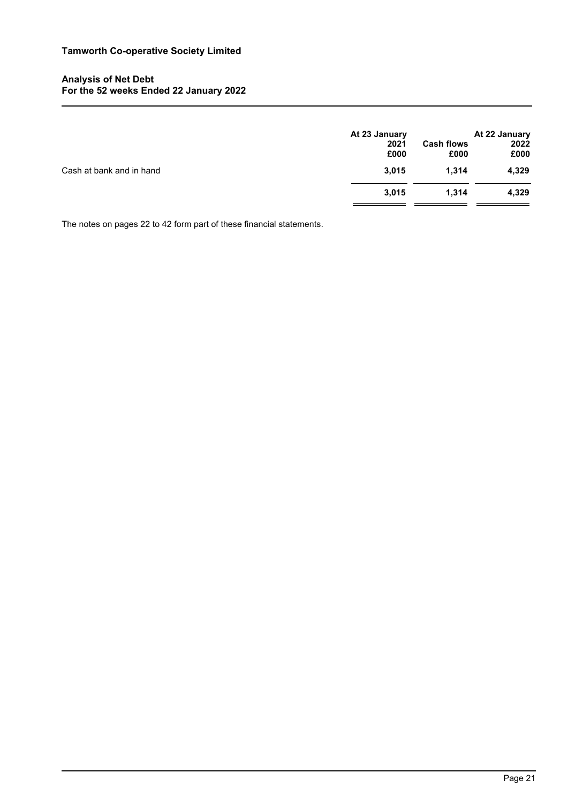# **Analysis of Net Debt For the 52 weeks Ended 22 January 2022**

|                          | At 23 January<br>2021<br>£000 | <b>Cash flows</b><br>£000 | At 22 January<br>2022<br>£000 |
|--------------------------|-------------------------------|---------------------------|-------------------------------|
| Cash at bank and in hand | 3,015                         | 1,314                     | 4,329                         |
|                          | 3,015                         | 1,314                     | 4,329                         |
|                          |                               |                           |                               |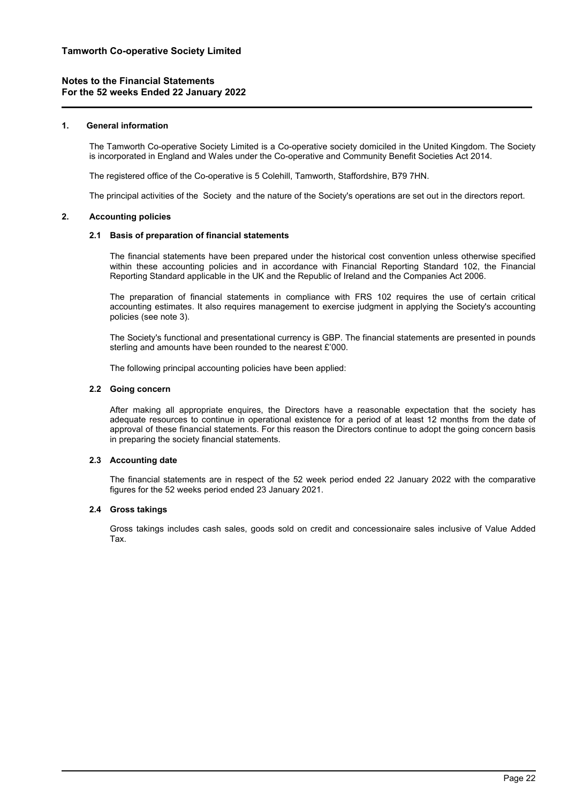## **1. General information**

The Tamworth Co-operative Society Limited is a Co-operative society domiciled in the United Kingdom. The Society is incorporated in England and Wales under the Co-operative and Community Benefit Societies Act 2014.

The registered office of the Co-operative is 5 Colehill, Tamworth, Staffordshire, B79 7HN.

The principal activities of the Society and the nature of the Society's operations are set out in the directors report.

## **2. Accounting policies**

## **2.1 Basis of preparation of financial statements**

The financial statements have been prepared under the historical cost convention unless otherwise specified within these accounting policies and in accordance with Financial Reporting Standard 102, the Financial Reporting Standard applicable in the UK and the Republic of Ireland and the Companies Act 2006.

The preparation of financial statements in compliance with FRS 102 requires the use of certain critical accounting estimates. It also requires management to exercise judgment in applying the Society's accounting policies (see note 3).

The Society's functional and presentational currency is GBP. The financial statements are presented in pounds sterling and amounts have been rounded to the nearest £'000.

The following principal accounting policies have been applied:

## **2.2 Going concern**

After making all appropriate enquires, the Directors have a reasonable expectation that the society has adequate resources to continue in operational existence for a period of at least 12 months from the date of approval of these financial statements. For this reason the Directors continue to adopt the going concern basis in preparing the society financial statements.

## **2.3 Accounting date**

The financial statements are in respect of the 52 week period ended 22 January 2022 with the comparative figures for the 52 weeks period ended 23 January 2021.

## **2.4 Gross takings**

Gross takings includes cash sales, goods sold on credit and concessionaire sales inclusive of Value Added Tax.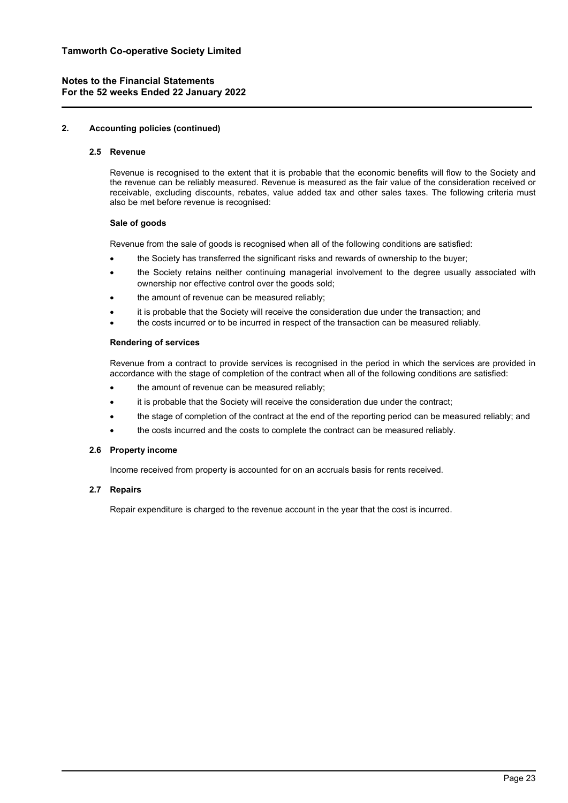## **2. Accounting policies (continued)**

## **2.5 Revenue**

Revenue is recognised to the extent that it is probable that the economic benefits will flow to the Society and the revenue can be reliably measured. Revenue is measured as the fair value of the consideration received or receivable, excluding discounts, rebates, value added tax and other sales taxes. The following criteria must also be met before revenue is recognised:

## **Sale of goods**

Revenue from the sale of goods is recognised when all of the following conditions are satisfied:

- the Society has transferred the significant risks and rewards of ownership to the buyer;
- the Society retains neither continuing managerial involvement to the degree usually associated with ownership nor effective control over the goods sold;
- the amount of revenue can be measured reliably;
- it is probable that the Society will receive the consideration due under the transaction; and
- the costs incurred or to be incurred in respect of the transaction can be measured reliably.

## **Rendering of services**

Revenue from a contract to provide services is recognised in the period in which the services are provided in accordance with the stage of completion of the contract when all of the following conditions are satisfied:

- the amount of revenue can be measured reliably;
- it is probable that the Society will receive the consideration due under the contract;
- the stage of completion of the contract at the end of the reporting period can be measured reliably; and
- the costs incurred and the costs to complete the contract can be measured reliably.

## **2.6 Property income**

Income received from property is accounted for on an accruals basis for rents received.

# **2.7 Repairs**

Repair expenditure is charged to the revenue account in the year that the cost is incurred.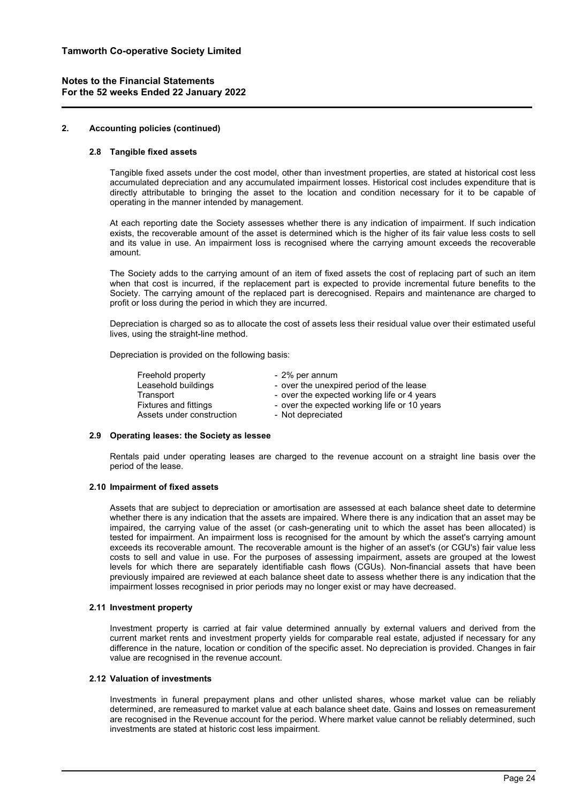## **2. Accounting policies (continued)**

## **2.8 Tangible fixed assets**

Tangible fixed assets under the cost model, other than investment properties, are stated at historical cost less accumulated depreciation and any accumulated impairment losses. Historical cost includes expenditure that is directly attributable to bringing the asset to the location and condition necessary for it to be capable of operating in the manner intended by management.

At each reporting date the Society assesses whether there is any indication of impairment. If such indication exists, the recoverable amount of the asset is determined which is the higher of its fair value less costs to sell and its value in use. An impairment loss is recognised where the carrying amount exceeds the recoverable amount.

The Society adds to the carrying amount of an item of fixed assets the cost of replacing part of such an item when that cost is incurred, if the replacement part is expected to provide incremental future benefits to the Society. The carrying amount of the replaced part is derecognised. Repairs and maintenance are charged to profit or loss during the period in which they are incurred.

Depreciation is charged so as to allocate the cost of assets less their residual value over their estimated useful lives, using the straight-line method.

Depreciation is provided on the following basis:

| Freehold property            | - 2% per annum                               |
|------------------------------|----------------------------------------------|
| Leasehold buildings          | - over the unexpired period of the lease     |
| Transport                    | - over the expected working life or 4 years  |
| <b>Fixtures and fittings</b> | - over the expected working life or 10 years |
| Assets under construction    | - Not depreciated                            |

#### **2.9 Operating leases: the Society as lessee**

Rentals paid under operating leases are charged to the revenue account on a straight line basis over the period of the lease.

## **2.10 Impairment of fixed assets**

Assets that are subject to depreciation or amortisation are assessed at each balance sheet date to determine whether there is any indication that the assets are impaired. Where there is any indication that an asset may be impaired, the carrying value of the asset (or cash-generating unit to which the asset has been allocated) is tested for impairment. An impairment loss is recognised for the amount by which the asset's carrying amount exceeds its recoverable amount. The recoverable amount is the higher of an asset's (or CGU's) fair value less costs to sell and value in use. For the purposes of assessing impairment, assets are grouped at the lowest levels for which there are separately identifiable cash flows (CGUs). Non-financial assets that have been previously impaired are reviewed at each balance sheet date to assess whether there is any indication that the impairment losses recognised in prior periods may no longer exist or may have decreased.

## **2.11 Investment property**

Investment property is carried at fair value determined annually by external valuers and derived from the current market rents and investment property yields for comparable real estate, adjusted if necessary for any difference in the nature, location or condition of the specific asset. No depreciation is provided. Changes in fair value are recognised in the revenue account.

#### **2.12 Valuation of investments**

Investments in funeral prepayment plans and other unlisted shares, whose market value can be reliably determined, are remeasured to market value at each balance sheet date. Gains and losses on remeasurement are recognised in the Revenue account for the period. Where market value cannot be reliably determined, such investments are stated at historic cost less impairment.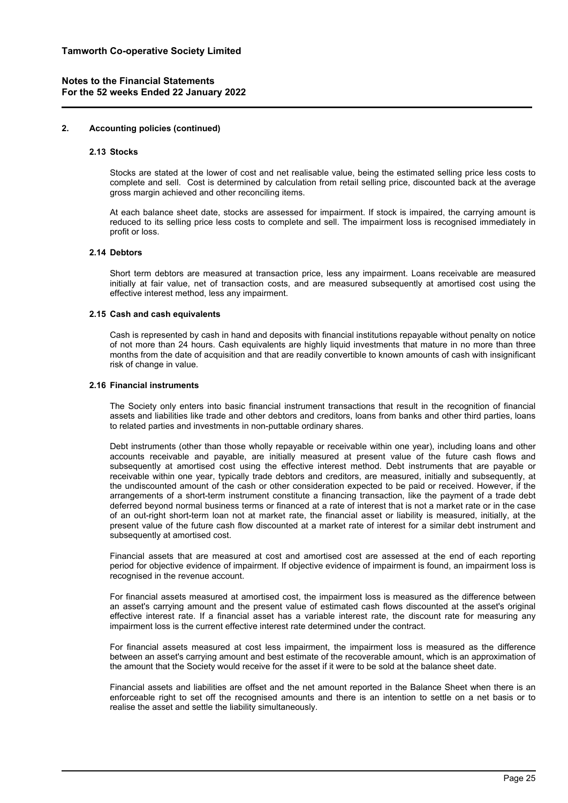#### **2. Accounting policies (continued)**

#### **2.13 Stocks**

Stocks are stated at the lower of cost and net realisable value, being the estimated selling price less costs to complete and sell. Cost is determined by calculation from retail selling price, discounted back at the average gross margin achieved and other reconciling items.

At each balance sheet date, stocks are assessed for impairment. If stock is impaired, the carrying amount is reduced to its selling price less costs to complete and sell. The impairment loss is recognised immediately in profit or loss.

## **2.14 Debtors**

Short term debtors are measured at transaction price, less any impairment. Loans receivable are measured initially at fair value, net of transaction costs, and are measured subsequently at amortised cost using the effective interest method, less any impairment.

#### **2.15 Cash and cash equivalents**

Cash is represented by cash in hand and deposits with financial institutions repayable without penalty on notice of not more than 24 hours. Cash equivalents are highly liquid investments that mature in no more than three months from the date of acquisition and that are readily convertible to known amounts of cash with insignificant risk of change in value.

#### **2.16 Financial instruments**

The Society only enters into basic financial instrument transactions that result in the recognition of financial assets and liabilities like trade and other debtors and creditors, loans from banks and other third parties, loans to related parties and investments in non-puttable ordinary shares.

Debt instruments (other than those wholly repayable or receivable within one year), including loans and other accounts receivable and payable, are initially measured at present value of the future cash flows and subsequently at amortised cost using the effective interest method. Debt instruments that are payable or receivable within one year, typically trade debtors and creditors, are measured, initially and subsequently, at the undiscounted amount of the cash or other consideration expected to be paid or received. However, if the arrangements of a short-term instrument constitute a financing transaction, like the payment of a trade debt deferred beyond normal business terms or financed at a rate of interest that is not a market rate or in the case of an out-right short-term loan not at market rate, the financial asset or liability is measured, initially, at the present value of the future cash flow discounted at a market rate of interest for a similar debt instrument and subsequently at amortised cost.

Financial assets that are measured at cost and amortised cost are assessed at the end of each reporting period for objective evidence of impairment. If objective evidence of impairment is found, an impairment loss is recognised in the revenue account.

For financial assets measured at amortised cost, the impairment loss is measured as the difference between an asset's carrying amount and the present value of estimated cash flows discounted at the asset's original effective interest rate. If a financial asset has a variable interest rate, the discount rate for measuring any impairment loss is the current effective interest rate determined under the contract.

For financial assets measured at cost less impairment, the impairment loss is measured as the difference between an asset's carrying amount and best estimate of the recoverable amount, which is an approximation of the amount that the Society would receive for the asset if it were to be sold at the balance sheet date.

Financial assets and liabilities are offset and the net amount reported in the Balance Sheet when there is an enforceable right to set off the recognised amounts and there is an intention to settle on a net basis or to realise the asset and settle the liability simultaneously.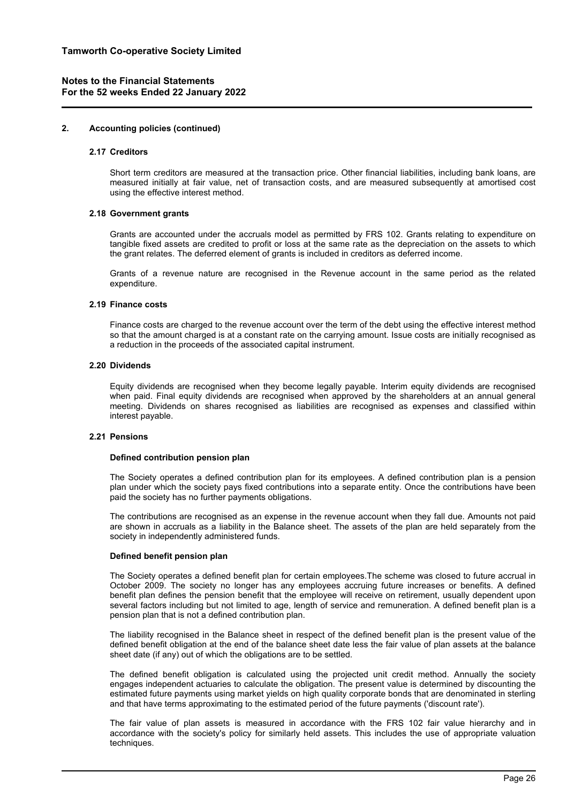#### **2. Accounting policies (continued)**

#### **2.17 Creditors**

Short term creditors are measured at the transaction price. Other financial liabilities, including bank loans, are measured initially at fair value, net of transaction costs, and are measured subsequently at amortised cost using the effective interest method.

#### **2.18 Government grants**

Grants are accounted under the accruals model as permitted by FRS 102. Grants relating to expenditure on tangible fixed assets are credited to profit or loss at the same rate as the depreciation on the assets to which the grant relates. The deferred element of grants is included in creditors as deferred income.

Grants of a revenue nature are recognised in the Revenue account in the same period as the related expenditure.

## **2.19 Finance costs**

Finance costs are charged to the revenue account over the term of the debt using the effective interest method so that the amount charged is at a constant rate on the carrying amount. Issue costs are initially recognised as a reduction in the proceeds of the associated capital instrument.

#### **2.20 Dividends**

Equity dividends are recognised when they become legally payable. Interim equity dividends are recognised when paid. Final equity dividends are recognised when approved by the shareholders at an annual general meeting. Dividends on shares recognised as liabilities are recognised as expenses and classified within interest payable.

## **2.21 Pensions**

#### **Defined contribution pension plan**

The Society operates a defined contribution plan for its employees. A defined contribution plan is a pension plan under which the society pays fixed contributions into a separate entity. Once the contributions have been paid the society has no further payments obligations.

The contributions are recognised as an expense in the revenue account when they fall due. Amounts not paid are shown in accruals as a liability in the Balance sheet. The assets of the plan are held separately from the society in independently administered funds.

## **Defined benefit pension plan**

The Society operates a defined benefit plan for certain employees.The scheme was closed to future accrual in October 2009. The society no longer has any employees accruing future increases or benefits. A defined benefit plan defines the pension benefit that the employee will receive on retirement, usually dependent upon several factors including but not limited to age, length of service and remuneration. A defined benefit plan is a pension plan that is not a defined contribution plan.

The liability recognised in the Balance sheet in respect of the defined benefit plan is the present value of the defined benefit obligation at the end of the balance sheet date less the fair value of plan assets at the balance sheet date (if any) out of which the obligations are to be settled.

The defined benefit obligation is calculated using the projected unit credit method. Annually the society engages independent actuaries to calculate the obligation. The present value is determined by discounting the estimated future payments using market yields on high quality corporate bonds that are denominated in sterling and that have terms approximating to the estimated period of the future payments ('discount rate').

The fair value of plan assets is measured in accordance with the FRS 102 fair value hierarchy and in accordance with the society's policy for similarly held assets. This includes the use of appropriate valuation techniques.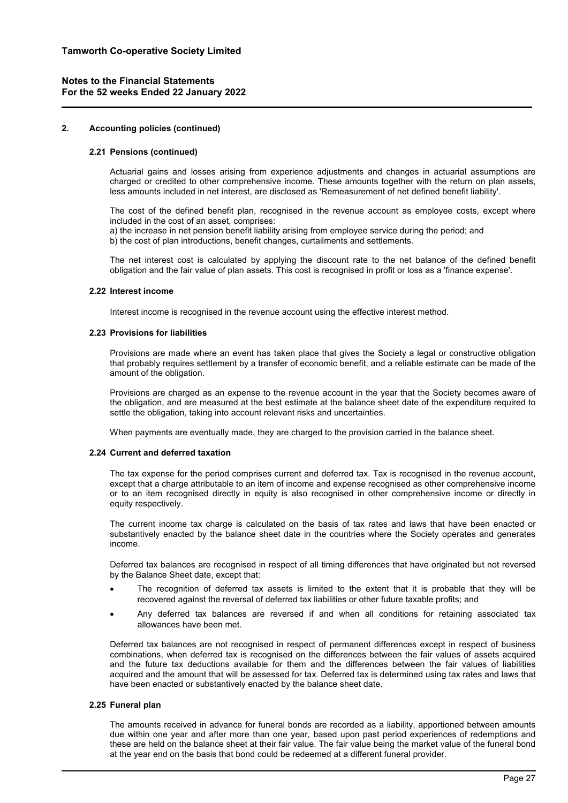#### **2. Accounting policies (continued)**

#### **2.21 Pensions (continued)**

Actuarial gains and losses arising from experience adjustments and changes in actuarial assumptions are charged or credited to other comprehensive income. These amounts together with the return on plan assets, less amounts included in net interest, are disclosed as 'Remeasurement of net defined benefit liability'.

The cost of the defined benefit plan, recognised in the revenue account as employee costs, except where included in the cost of an asset, comprises:

a) the increase in net pension benefit liability arising from employee service during the period; and

b) the cost of plan introductions, benefit changes, curtailments and settlements.

The net interest cost is calculated by applying the discount rate to the net balance of the defined benefit obligation and the fair value of plan assets. This cost is recognised in profit or loss as a 'finance expense'.

#### **2.22 Interest income**

Interest income is recognised in the revenue account using the effective interest method.

#### **2.23 Provisions for liabilities**

Provisions are made where an event has taken place that gives the Society a legal or constructive obligation that probably requires settlement by a transfer of economic benefit, and a reliable estimate can be made of the amount of the obligation.

Provisions are charged as an expense to the revenue account in the year that the Society becomes aware of the obligation, and are measured at the best estimate at the balance sheet date of the expenditure required to settle the obligation, taking into account relevant risks and uncertainties.

When payments are eventually made, they are charged to the provision carried in the balance sheet.

## **2.24 Current and deferred taxation**

The tax expense for the period comprises current and deferred tax. Tax is recognised in the revenue account, except that a charge attributable to an item of income and expense recognised as other comprehensive income or to an item recognised directly in equity is also recognised in other comprehensive income or directly in equity respectively.

The current income tax charge is calculated on the basis of tax rates and laws that have been enacted or substantively enacted by the balance sheet date in the countries where the Society operates and generates income.

Deferred tax balances are recognised in respect of all timing differences that have originated but not reversed by the Balance Sheet date, except that:

- The recognition of deferred tax assets is limited to the extent that it is probable that they will be recovered against the reversal of deferred tax liabilities or other future taxable profits; and
- Any deferred tax balances are reversed if and when all conditions for retaining associated tax allowances have been met.

Deferred tax balances are not recognised in respect of permanent differences except in respect of business combinations, when deferred tax is recognised on the differences between the fair values of assets acquired and the future tax deductions available for them and the differences between the fair values of liabilities acquired and the amount that will be assessed for tax. Deferred tax is determined using tax rates and laws that have been enacted or substantively enacted by the balance sheet date.

## **2.25 Funeral plan**

The amounts received in advance for funeral bonds are recorded as a liability, apportioned between amounts due within one year and after more than one year, based upon past period experiences of redemptions and these are held on the balance sheet at their fair value. The fair value being the market value of the funeral bond at the year end on the basis that bond could be redeemed at a different funeral provider.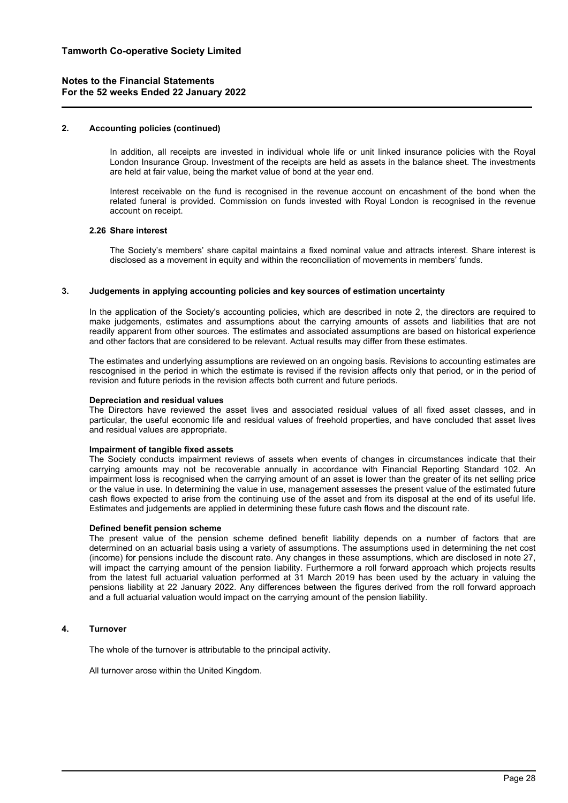## **2. Accounting policies (continued)**

In addition, all receipts are invested in individual whole life or unit linked insurance policies with the Royal London Insurance Group. Investment of the receipts are held as assets in the balance sheet. The investments are held at fair value, being the market value of bond at the year end.

Interest receivable on the fund is recognised in the revenue account on encashment of the bond when the related funeral is provided. Commission on funds invested with Royal London is recognised in the revenue account on receipt.

#### **2.26 Share interest**

The Society's members' share capital maintains a fixed nominal value and attracts interest. Share interest is disclosed as a movement in equity and within the reconciliation of movements in members' funds.

#### **3. Judgements in applying accounting policies and key sources of estimation uncertainty**

In the application of the Society's accounting policies, which are described in note 2, the directors are required to make judgements, estimates and assumptions about the carrying amounts of assets and liabilities that are not readily apparent from other sources. The estimates and associated assumptions are based on historical experience and other factors that are considered to be relevant. Actual results may differ from these estimates.

The estimates and underlying assumptions are reviewed on an ongoing basis. Revisions to accounting estimates are rescognised in the period in which the estimate is revised if the revision affects only that period, or in the period of revision and future periods in the revision affects both current and future periods.

#### **Depreciation and residual values**

The Directors have reviewed the asset lives and associated residual values of all fixed asset classes, and in particular, the useful economic life and residual values of freehold properties, and have concluded that asset lives and residual values are appropriate.

## **Impairment of tangible fixed assets**

The Society conducts impairment reviews of assets when events of changes in circumstances indicate that their carrying amounts may not be recoverable annually in accordance with Financial Reporting Standard 102. An impairment loss is recognised when the carrying amount of an asset is lower than the greater of its net selling price or the value in use. In determining the value in use, management assesses the present value of the estimated future cash flows expected to arise from the continuing use of the asset and from its disposal at the end of its useful life. Estimates and judgements are applied in determining these future cash flows and the discount rate.

#### **Defined benefit pension scheme**

The present value of the pension scheme defined benefit liability depends on a number of factors that are determined on an actuarial basis using a variety of assumptions. The assumptions used in determining the net cost (income) for pensions include the discount rate. Any changes in these assumptions, which are disclosed in note 27, will impact the carrying amount of the pension liability. Furthermore a roll forward approach which projects results from the latest full actuarial valuation performed at 31 March 2019 has been used by the actuary in valuing the pensions liability at 22 January 2022. Any differences between the figures derived from the roll forward approach and a full actuarial valuation would impact on the carrying amount of the pension liability.

## **4. Turnover**

The whole of the turnover is attributable to the principal activity.

All turnover arose within the United Kingdom.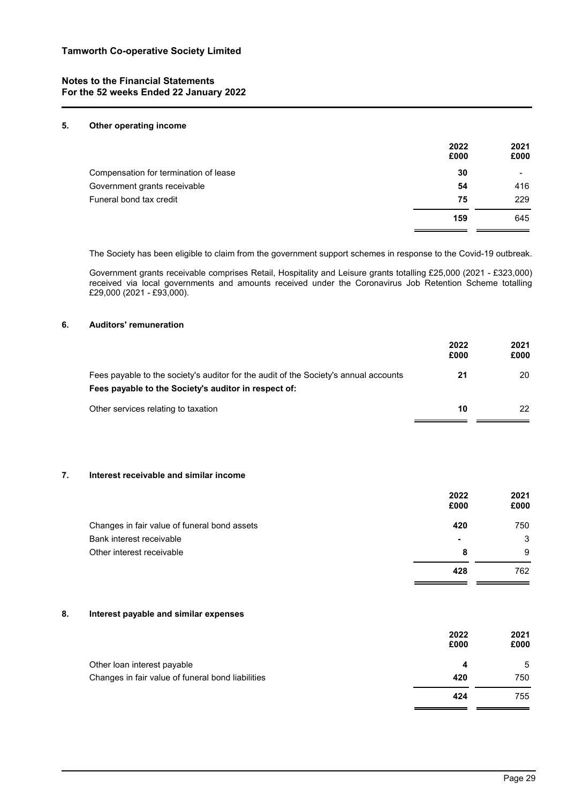## **5. Other operating income**

|                                       | 2022<br>£000 | 2021<br>£000 |
|---------------------------------------|--------------|--------------|
| Compensation for termination of lease | 30           | $\,$         |
| Government grants receivable          | 54           | 416          |
| Funeral bond tax credit               | 75           | 229          |
|                                       | 159          | 645          |

The Society has been eligible to claim from the government support schemes in response to the Covid-19 outbreak.

Government grants receivable comprises Retail, Hospitality and Leisure grants totalling £25,000 (2021 - £323,000) received via local governments and amounts received under the Coronavirus Job Retention Scheme totalling £29,000 (2021 - £93,000).

## **6. Auditors' remuneration**

|                                                                                                                                              | 2022<br>£000 | 2021<br>£000 |
|----------------------------------------------------------------------------------------------------------------------------------------------|--------------|--------------|
| Fees payable to the society's auditor for the audit of the Society's annual accounts<br>Fees payable to the Society's auditor in respect of: | 21           | 20           |
| Other services relating to taxation                                                                                                          | 10           | 22           |

# **7. Interest receivable and similar income**

|                                              | 2022<br>£000   | 2021<br>£000 |
|----------------------------------------------|----------------|--------------|
| Changes in fair value of funeral bond assets | 420            | 750          |
| Bank interest receivable                     | $\blacksquare$ | 3            |
| Other interest receivable                    | 8              | 9            |
|                                              | 428            | 762          |

# **8. Interest payable and similar expenses**

|                                                   | 2022<br>£000 | 2021<br>£000 |
|---------------------------------------------------|--------------|--------------|
| Other loan interest payable                       | 4            | 5            |
| Changes in fair value of funeral bond liabilities | 420          | 750          |
|                                                   | 424          | 755          |

 $\sim$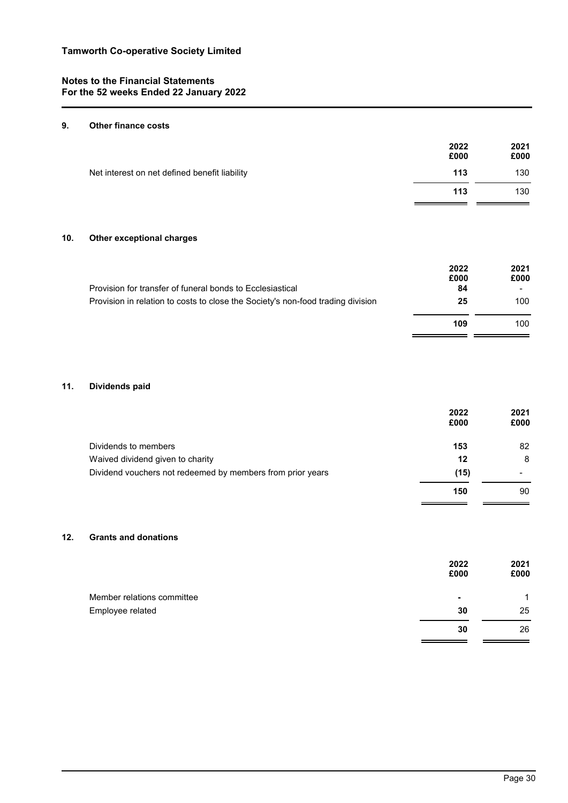# **9. Other finance costs**

| 2022<br>£000 | 2021<br>£000 |
|--------------|--------------|
| 113          | 130          |
| 113          | 130          |
|              |              |

# **10. Other exceptional charges**

|                                                                                 | 2022<br>£000 | 2021<br>£000 |
|---------------------------------------------------------------------------------|--------------|--------------|
| Provision for transfer of funeral bonds to Ecclesiastical                       | 84           |              |
| Provision in relation to costs to close the Society's non-food trading division | 25           | 100          |
|                                                                                 | 109          | 100          |

# **11. Dividends paid**

|                                                            | 2022<br>£000 | 2021<br>£000 |
|------------------------------------------------------------|--------------|--------------|
| Dividends to members                                       | 153          | 82           |
| Waived dividend given to charity                           | 12           | 8            |
| Dividend vouchers not redeemed by members from prior years | (15)         |              |
|                                                            | 150          | 90           |

# **12. Grants and donations**

|                            | 2022<br>£000 | 2021<br>£000 |
|----------------------------|--------------|--------------|
| Member relations committee | ٠            | 1            |
| Employee related           | 30           | 25           |
|                            | 30           | 26           |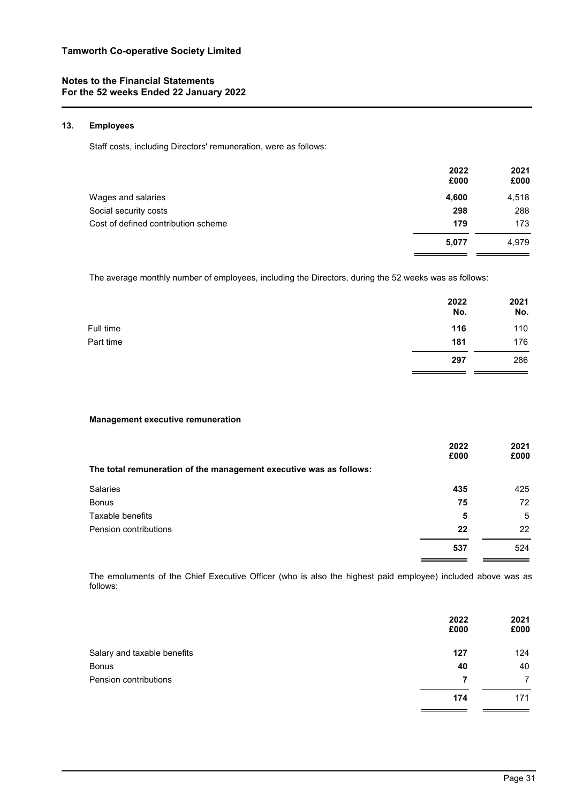# **13. Employees**

Staff costs, including Directors' remuneration, were as follows:

| 2022<br>£000 | 2021<br>£000 |
|--------------|--------------|
| 4,600        | 4,518        |
| 298          | 288          |
| 179          | 173          |
| 5,077        | 4.979        |
|              |              |

The average monthly number of employees, including the Directors, during the 52 weeks was as follows:

|           | 2022<br>No. | 2021<br>No. |
|-----------|-------------|-------------|
| Full time | 116         | 110         |
| Part time | 181         | 176         |
|           | 297         | 286         |

## **Management executive remuneration**

|                                                                    | 2022<br>£000 | 2021<br>£000 |
|--------------------------------------------------------------------|--------------|--------------|
| The total remuneration of the management executive was as follows: |              |              |
| <b>Salaries</b>                                                    | 435          | 425          |
| <b>Bonus</b>                                                       | 75           | 72           |
| Taxable benefits                                                   | 5            | 5            |
| Pension contributions                                              | 22           | 22           |
|                                                                    | 537          | 524          |

The emoluments of the Chief Executive Officer (who is also the highest paid employee) included above was as follows:

| 2022<br>£000 | 2021<br>£000 |
|--------------|--------------|
| 127          | 124          |
| 40           | 40           |
| 7            | 7            |
| 174          | 171          |
|              |              |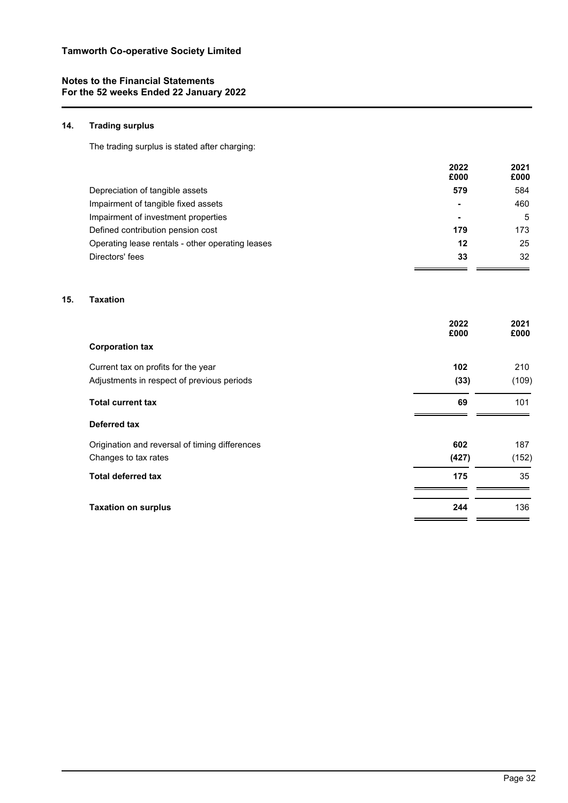# **14. Trading surplus**

The trading surplus is stated after charging:

|                                                  | 2022<br>£000 | 2021<br>£000 |
|--------------------------------------------------|--------------|--------------|
| Depreciation of tangible assets                  | 579          | 584          |
| Impairment of tangible fixed assets              | -            | 460          |
| Impairment of investment properties              | -            | 5            |
| Defined contribution pension cost                | 179          | 173          |
| Operating lease rentals - other operating leases | 12           | 25           |
| Directors' fees                                  | 33           | 32           |

# **15. Taxation**

|                                                | 2022<br>£000 | 2021<br>£000 |
|------------------------------------------------|--------------|--------------|
| <b>Corporation tax</b>                         |              |              |
| Current tax on profits for the year            | 102          | 210          |
| Adjustments in respect of previous periods     | (33)         | (109)        |
| <b>Total current tax</b>                       | 69           | 101          |
| Deferred tax                                   |              |              |
| Origination and reversal of timing differences | 602          | 187          |
| Changes to tax rates                           | (427)        | (152)        |
| <b>Total deferred tax</b>                      | 175          | 35           |
| <b>Taxation on surplus</b>                     | 244          | 136          |

 $\overline{a}$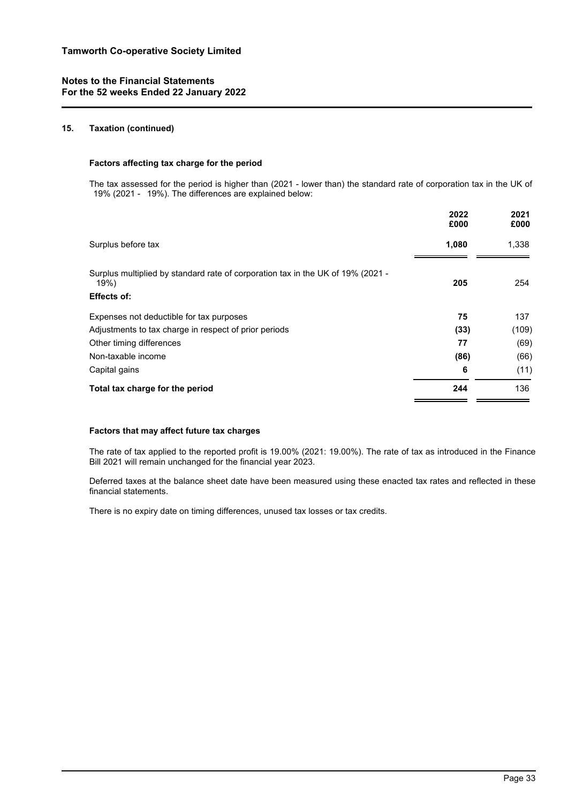## **15. Taxation (continued)**

## **Factors affecting tax charge for the period**

The tax assessed for the period is higher than (2021 - lower than) the standard rate of corporation tax in the UK of 19% (2021 - 19%). The differences are explained below:

| 2022<br>£000 | 2021<br>£000 |
|--------------|--------------|
| 1,080        | 1,338        |
| 205          | 254          |
|              |              |
| 75           | 137          |
| (33)         | (109)        |
| 77           | (69)         |
| (86)         | (66)         |
| 6            | (11)         |
| 244          | 136          |
|              |              |

## **Factors that may affect future tax charges**

The rate of tax applied to the reported profit is 19.00% (2021: 19.00%). The rate of tax as introduced in the Finance Bill 2021 will remain unchanged for the financial year 2023.

Deferred taxes at the balance sheet date have been measured using these enacted tax rates and reflected in these financial statements.

There is no expiry date on timing differences, unused tax losses or tax credits.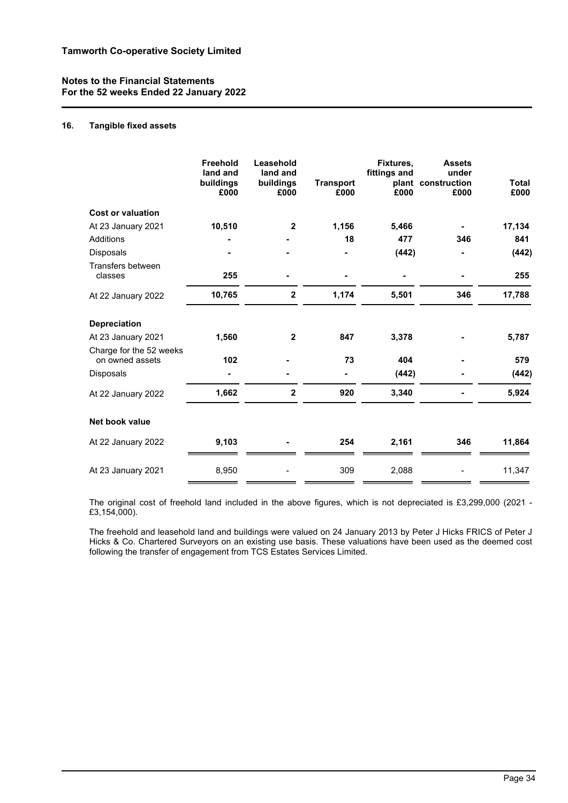# **16. Tangible fixed assets**

|                                            | Freehold<br>land and<br>buildings<br>£000 | Leasehold<br>land and<br>buildings<br>£000 | <b>Transport</b><br>£000 | Fixtures,<br>fittings and<br>£000 | <b>Assets</b><br>under<br>plant construction<br>£000 | <b>Total</b><br>£000 |
|--------------------------------------------|-------------------------------------------|--------------------------------------------|--------------------------|-----------------------------------|------------------------------------------------------|----------------------|
| <b>Cost or valuation</b>                   |                                           |                                            |                          |                                   |                                                      |                      |
| At 23 January 2021                         | 10,510                                    | $\mathbf{2}$                               | 1,156                    | 5,466                             |                                                      | 17,134               |
| <b>Additions</b>                           |                                           |                                            | 18                       | 477                               | 346                                                  | 841                  |
| Disposals                                  |                                           |                                            |                          | (442)                             |                                                      | (442)                |
| Transfers between<br>classes               | 255                                       |                                            |                          |                                   |                                                      | 255                  |
| At 22 January 2022                         | 10,765                                    | $\mathbf 2$                                | 1,174                    | 5,501                             | 346                                                  | 17,788               |
| <b>Depreciation</b>                        |                                           |                                            |                          |                                   |                                                      |                      |
| At 23 January 2021                         | 1,560                                     | $\mathbf{2}$                               | 847                      | 3,378                             |                                                      | 5,787                |
| Charge for the 52 weeks<br>on owned assets | 102                                       |                                            | 73                       | 404                               |                                                      | 579                  |
| <b>Disposals</b>                           |                                           |                                            |                          | (442)                             |                                                      | (442)                |
| At 22 January 2022                         | 1,662                                     | $\mathbf{2}$                               | 920                      | 3,340                             |                                                      | 5,924                |
| Net book value                             |                                           |                                            |                          |                                   |                                                      |                      |
| At 22 January 2022                         | 9,103                                     |                                            | 254                      | 2,161                             | 346                                                  | 11,864               |
| At 23 January 2021                         | 8,950                                     |                                            | 309                      | 2,088                             |                                                      | 11,347               |

The original cost of freehold land included in the above figures, which is not depreciated is £3,299,000 (2021 - £3,154,000).

The freehold and leasehold land and buildings were valued on 24 January 2013 by Peter J Hicks FRICS of Peter J Hicks & Co. Chartered Surveyors on an existing use basis. These valuations have been used as the deemed cost following the transfer of engagement from TCS Estates Services Limited.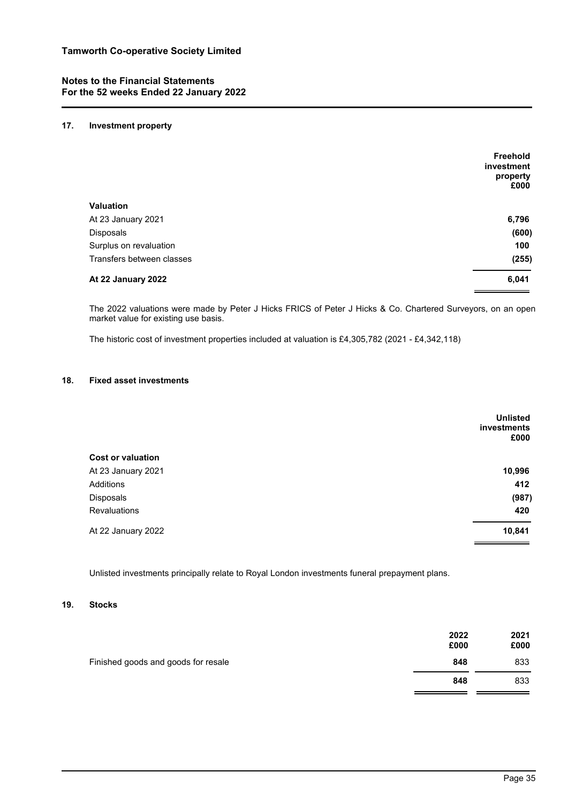## **17. Investment property**

|                           | Freehold<br>investment |
|---------------------------|------------------------|
|                           | property<br>£000       |
| <b>Valuation</b>          |                        |
| At 23 January 2021        | 6,796                  |
| Disposals                 | (600)                  |
| Surplus on revaluation    | 100                    |
| Transfers between classes | (255)                  |
| At 22 January 2022        | 6,041                  |

The 2022 valuations were made by Peter J Hicks FRICS of Peter J Hicks & Co. Chartered Surveyors, on an open market value for existing use basis.

The historic cost of investment properties included at valuation is £4,305,782 (2021 - £4,342,118)

## **18. Fixed asset investments**

| <b>Unlisted</b><br>investments<br>£000 |
|----------------------------------------|
|                                        |
| 10,996                                 |
| 412                                    |
| (987)                                  |
| 420                                    |
| 10,841                                 |
|                                        |

Unlisted investments principally relate to Royal London investments funeral prepayment plans.

## **19. Stocks**

| Finished goods and goods for resale | 2022<br>£000 | 2021<br>£000 |
|-------------------------------------|--------------|--------------|
|                                     | 848          | 833          |
|                                     | 848          | 833          |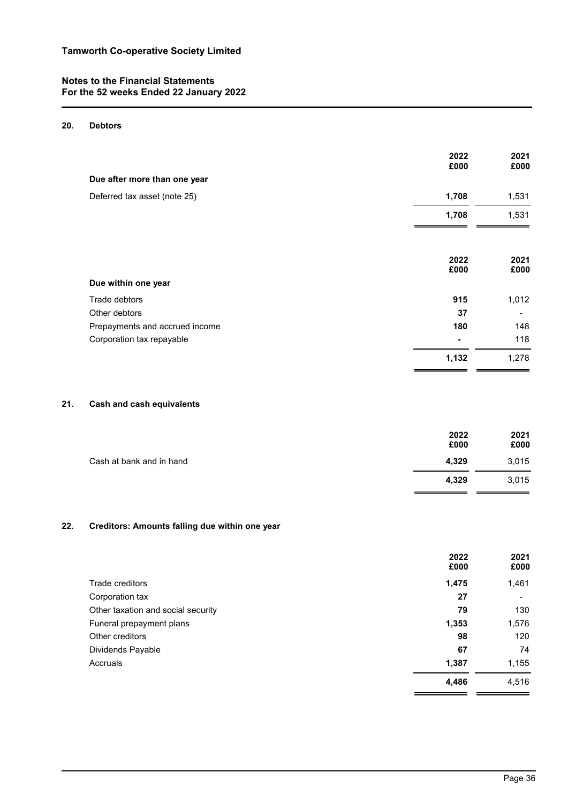# **20. Debtors**

|                                      | 2022<br>£000 | 2021<br>£000             |
|--------------------------------------|--------------|--------------------------|
| Due after more than one year         |              |                          |
| Deferred tax asset (note 25)         | 1,708        | 1,531                    |
|                                      | 1,708        | 1,531                    |
|                                      | 2022<br>£000 | 2021<br>£000             |
| Due within one year<br>Trade debtors | 915          | 1,012                    |
| Other debtors                        | 37           | $\overline{\phantom{a}}$ |
| Prepayments and accrued income       | 180          | 148                      |
| Corporation tax repayable            |              | 118                      |
|                                      | 1,132        | 1,278                    |

# **21. Cash and cash equivalents**

|                          | 2022<br>£000 | 2021<br>£000 |
|--------------------------|--------------|--------------|
| Cash at bank and in hand | 4,329        | 3,015        |
|                          | 4,329        | 3,015        |

# **22. Creditors: Amounts falling due within one year**

|                                    | 2022<br>£000 | 2021<br>£000             |
|------------------------------------|--------------|--------------------------|
| Trade creditors                    | 1,475        | 1,461                    |
| Corporation tax                    | 27           | $\overline{\phantom{a}}$ |
| Other taxation and social security | 79           | 130                      |
| Funeral prepayment plans           | 1,353        | 1,576                    |
| Other creditors                    | 98           | 120                      |
| Dividends Payable                  | 67           | 74                       |
| Accruals                           | 1,387        | 1,155                    |
|                                    | 4,486        | 4,516                    |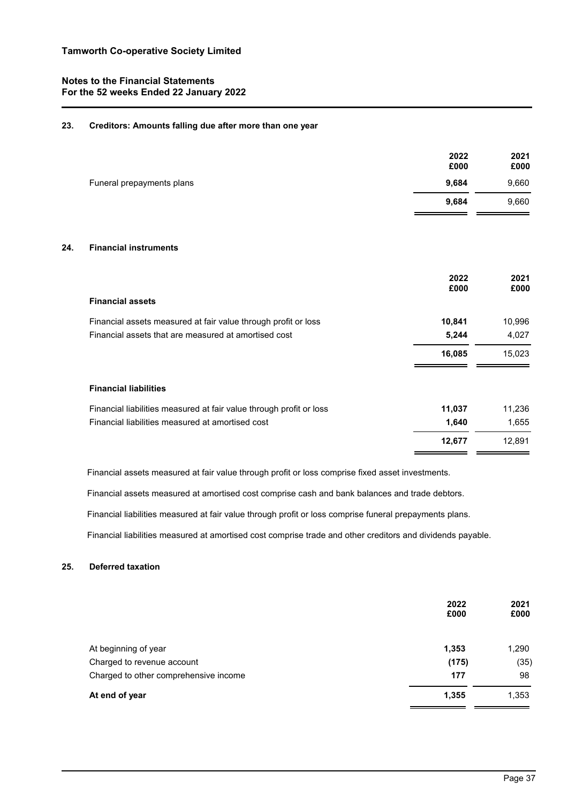## **23. Creditors: Amounts falling due after more than one year**

|                                                                     | 2022<br>£000 | 2021<br>£000 |
|---------------------------------------------------------------------|--------------|--------------|
| Funeral prepayments plans                                           | 9,684        | 9,660        |
|                                                                     | 9,684        | 9,660        |
| <b>Financial instruments</b><br>24.                                 |              |              |
|                                                                     | 2022<br>£000 | 2021<br>£000 |
| <b>Financial assets</b>                                             |              |              |
| Financial assets measured at fair value through profit or loss      | 10,841       | 10,996       |
| Financial assets that are measured at amortised cost                | 5,244        | 4,027        |
|                                                                     | 16,085       | 15,023       |
| <b>Financial liabilities</b>                                        |              |              |
| Financial liabilities measured at fair value through profit or loss | 11,037       | 11,236       |
| Financial liabilities measured at amortised cost                    | 1,640        | 1,655        |
|                                                                     | 12,677       | 12,891       |

Financial assets measured at fair value through profit or loss comprise fixed asset investments.

Financial assets measured at amortised cost comprise cash and bank balances and trade debtors.

Financial liabilities measured at fair value through profit or loss comprise funeral prepayments plans.

Financial liabilities measured at amortised cost comprise trade and other creditors and dividends payable.

# **25. Deferred taxation**

|                                       | 2022<br>£000 | 2021<br>£000 |
|---------------------------------------|--------------|--------------|
| At beginning of year                  | 1,353        | 1,290        |
| Charged to revenue account            | (175)        | (35)         |
| Charged to other comprehensive income | 177          | 98           |
| At end of year                        | 1,355        | 1,353        |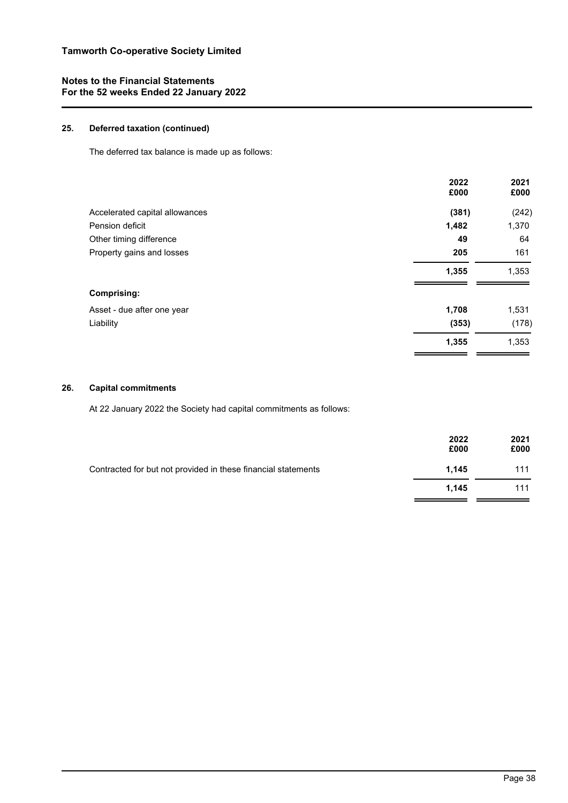# **25. Deferred taxation (continued)**

The deferred tax balance is made up as follows:

|                                | 2022<br>£000 | 2021<br>£000 |
|--------------------------------|--------------|--------------|
| Accelerated capital allowances | (381)        | (242)        |
| Pension deficit                | 1,482        | 1,370        |
| Other timing difference        | 49           | 64           |
| Property gains and losses      | 205          | 161          |
|                                | 1,355        | 1,353        |
| <b>Comprising:</b>             |              |              |
| Asset - due after one year     | 1,708        | 1,531        |
| Liability                      | (353)        | (178)        |
|                                | 1,355        | 1,353        |

## **26. Capital commitments**

At 22 January 2022 the Society had capital commitments as follows:

|                                                               | 2022<br>£000 | 2021<br>£000 |
|---------------------------------------------------------------|--------------|--------------|
| Contracted for but not provided in these financial statements | 1.145        | 111          |
|                                                               | 1.145        | 111          |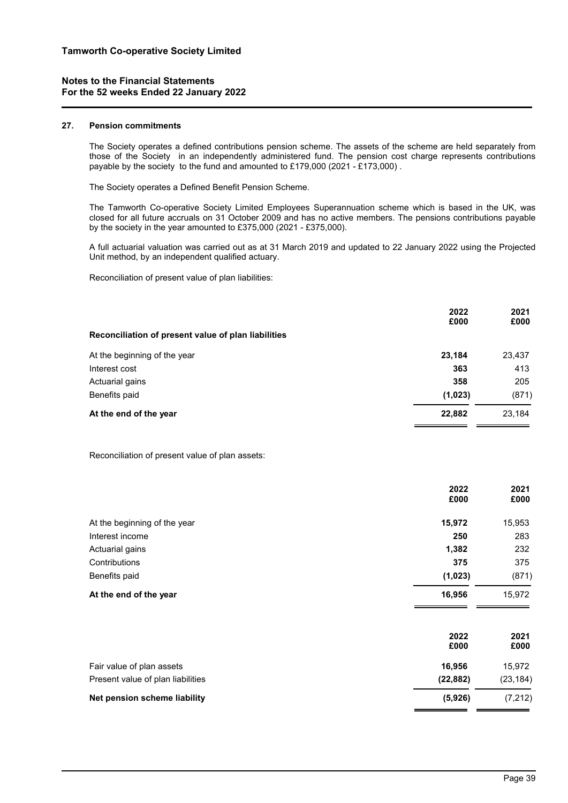#### **27. Pension commitments**

The Society operates a defined contributions pension scheme. The assets of the scheme are held separately from those of the Society in an independently administered fund. The pension cost charge represents contributions payable by the society to the fund and amounted to £179,000 (2021 - £173,000) .

The Society operates a Defined Benefit Pension Scheme.

The Tamworth Co-operative Society Limited Employees Superannuation scheme which is based in the UK, was closed for all future accruals on 31 October 2009 and has no active members. The pensions contributions payable by the society in the year amounted to £375,000 (2021 - £375,000).

A full actuarial valuation was carried out as at 31 March 2019 and updated to 22 January 2022 using the Projected Unit method, by an independent qualified actuary.

Reconciliation of present value of plan liabilities:

|                                                     | 2022<br>£000 | 2021<br>£000 |
|-----------------------------------------------------|--------------|--------------|
| Reconciliation of present value of plan liabilities |              |              |
| At the beginning of the year                        | 23,184       | 23,437       |
| Interest cost                                       | 363          | 413          |
| Actuarial gains                                     | 358          | 205          |
| Benefits paid                                       | (1,023)      | (871)        |
| At the end of the year                              | 22,882       | 23.184       |

Reconciliation of present value of plan assets:

|                                   | 2022<br>£000 | 2021<br>£000 |
|-----------------------------------|--------------|--------------|
| At the beginning of the year      | 15,972       | 15,953       |
| Interest income                   | 250          | 283          |
| Actuarial gains                   | 1,382        | 232          |
| Contributions                     | 375          | 375          |
| Benefits paid                     | (1,023)      | (871)        |
| At the end of the year            | 16,956       | 15,972       |
|                                   | 2022<br>£000 | 2021<br>£000 |
| Fair value of plan assets         | 16,956       | 15,972       |
| Present value of plan liabilities | (22, 882)    | (23, 184)    |
| Net pension scheme liability      | (5,926)      | (7, 212)     |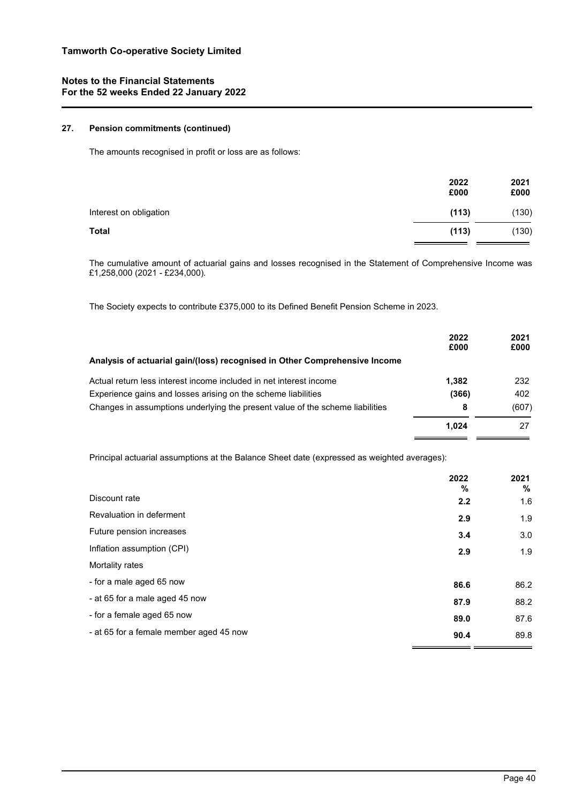# **27. Pension commitments (continued)**

The amounts recognised in profit or loss are as follows:

|                        | 2022<br>£000 | 2021<br>£000 |
|------------------------|--------------|--------------|
| Interest on obligation | (113)        | (130)        |
| <b>Total</b>           | (113)        | (130)        |

The cumulative amount of actuarial gains and losses recognised in the Statement of Comprehensive Income was £1,258,000 (2021 - £234,000)*.*

The Society expects to contribute £375,000 to its Defined Benefit Pension Scheme in 2023.

|                                                                               | 2022<br>£000 | 2021<br>£000 |
|-------------------------------------------------------------------------------|--------------|--------------|
| Analysis of actuarial gain/(loss) recognised in Other Comprehensive Income    |              |              |
| Actual return less interest income included in net interest income            | 1.382        | 232          |
| Experience gains and losses arising on the scheme liabilities                 | (366)        | 402          |
| Changes in assumptions underlying the present value of the scheme liabilities | 8            | (607)        |
|                                                                               | 1.024        | 27           |

Principal actuarial assumptions at the Balance Sheet date (expressed as weighted averages):

|                                         | 2022<br>% | 2021<br>% |
|-----------------------------------------|-----------|-----------|
| Discount rate                           | 2.2       | 1.6       |
| Revaluation in deferment                | 2.9       | 1.9       |
| Future pension increases                | 3.4       | 3.0       |
| Inflation assumption (CPI)              | 2.9       | 1.9       |
| Mortality rates                         |           |           |
| - for a male aged 65 now                | 86.6      | 86.2      |
| - at 65 for a male aged 45 now          | 87.9      | 88.2      |
| - for a female aged 65 now              | 89.0      | 87.6      |
| - at 65 for a female member aged 45 now | 90.4      | 89.8      |
|                                         |           |           |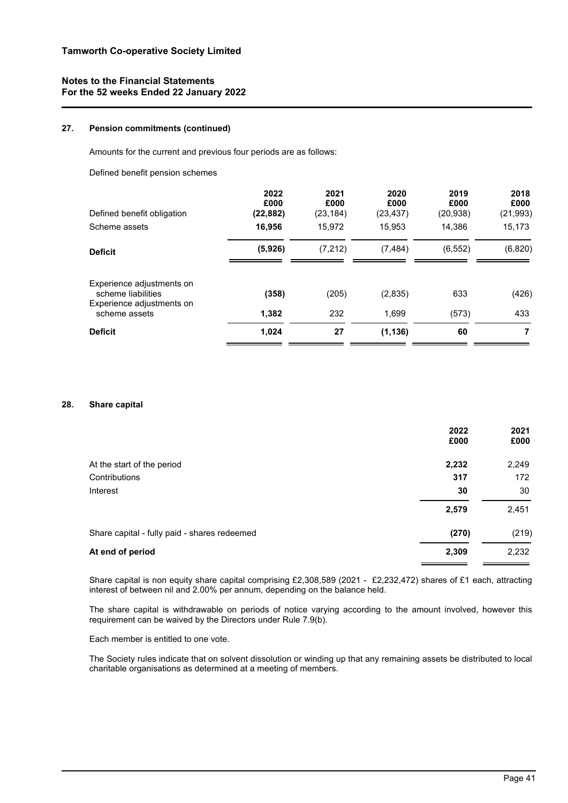## **27. Pension commitments (continued)**

Amounts for the current and previous four periods are as follows:

Defined benefit pension schemes

| Defined benefit obligation<br>Scheme assets     | 2022<br>£000<br>(22, 882)<br>16,956 | 2021<br>£000<br>(23, 184)<br>15.972 | 2020<br>£000<br>(23, 437)<br>15.953 | 2019<br>£000<br>(20, 938)<br>14.386 | 2018<br>£000<br>(21, 993)<br>15,173 |
|-------------------------------------------------|-------------------------------------|-------------------------------------|-------------------------------------|-------------------------------------|-------------------------------------|
| <b>Deficit</b>                                  | (5,926)                             | (7, 212)                            | (7, 484)                            | (6, 552)                            | (6, 820)                            |
| Experience adjustments on<br>scheme liabilities | (358)                               | (205)                               | (2,835)                             | 633                                 | (426)                               |
| Experience adjustments on<br>scheme assets      | 1,382                               | 232                                 | 1,699                               | (573)                               | 433                                 |
| <b>Deficit</b>                                  | 1,024                               | 27                                  | (1, 136)                            | 60                                  | 7                                   |

## **28. Share capital**

| 2022<br>£000 | 2021<br>£000 |
|--------------|--------------|
| 2,232        | 2,249        |
| 317          | 172          |
| 30           | 30           |
| 2,579        | 2,451        |
| (270)        | (219)        |
| 2,309        | 2,232        |
|              |              |

Share capital is non equity share capital comprising £2,308,589 (2021 - £2,232,472) shares of £1 each, attracting interest of between nil and 2.00% per annum, depending on the balance held.

The share capital is withdrawable on periods of notice varying according to the amount involved, however this requirement can be waived by the Directors under Rule 7.9(b).

Each member is entitled to one vote.

The Society rules indicate that on solvent dissolution or winding up that any remaining assets be distributed to local charitable organisations as determined at a meeting of members.